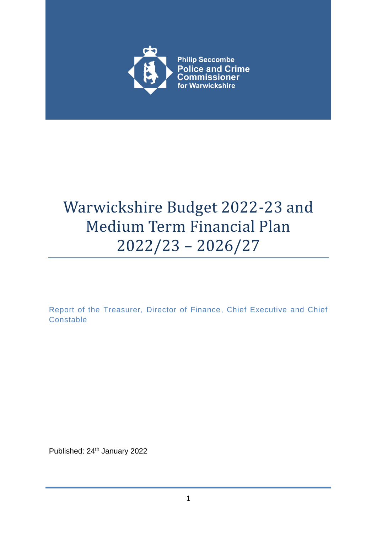

# Warwickshire Budget 2022-23 and Medium Term Financial Plan 2022/23 – 2026/27

Report of the Treasurer, Director of Finance, Chief Executive and Chief **Constable** 

Published: 24<sup>th</sup> January 2022

1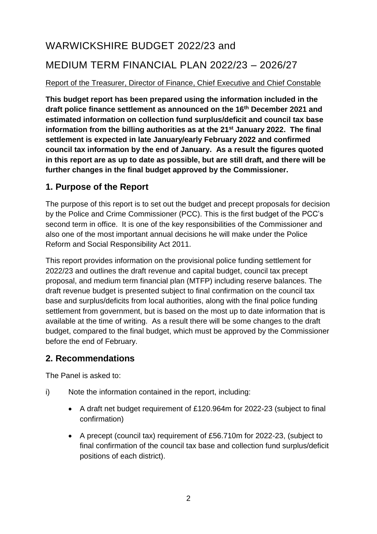## WARWICKSHIRE BUDGET 2022/23 and MEDIUM TERM FINANCIAL PLAN 2022/23 – 2026/27

#### Report of the Treasurer, Director of Finance, Chief Executive and Chief Constable

**This budget report has been prepared using the information included in the draft police finance settlement as announced on the 16th December 2021 and estimated information on collection fund surplus/deficit and council tax base information from the billing authorities as at the 21st January 2022. The final settlement is expected in late January/early February 2022 and confirmed council tax information by the end of January. As a result the figures quoted in this report are as up to date as possible, but are still draft, and there will be further changes in the final budget approved by the Commissioner.** 

### **1. Purpose of the Report**

The purpose of this report is to set out the budget and precept proposals for decision by the Police and Crime Commissioner (PCC). This is the first budget of the PCC's second term in office. It is one of the key responsibilities of the Commissioner and also one of the most important annual decisions he will make under the Police Reform and Social Responsibility Act 2011.

This report provides information on the provisional police funding settlement for 2022/23 and outlines the draft revenue and capital budget, council tax precept proposal, and medium term financial plan (MTFP) including reserve balances. The draft revenue budget is presented subject to final confirmation on the council tax base and surplus/deficits from local authorities, along with the final police funding settlement from government, but is based on the most up to date information that is available at the time of writing. As a result there will be some changes to the draft budget, compared to the final budget, which must be approved by the Commissioner before the end of February.

### **2. Recommendations**

The Panel is asked to:

- i) Note the information contained in the report, including:
	- A draft net budget requirement of £120.964m for 2022-23 (subject to final confirmation)
	- A precept (council tax) requirement of £56.710m for 2022-23, (subject to final confirmation of the council tax base and collection fund surplus/deficit positions of each district).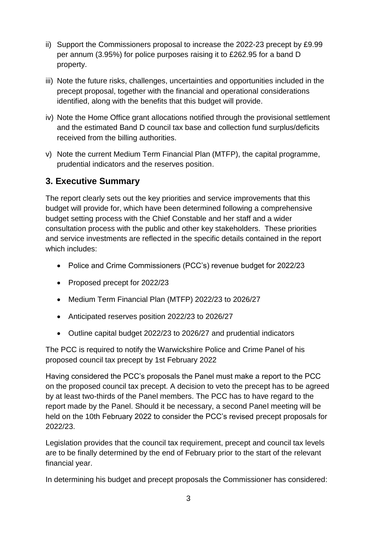- ii) Support the Commissioners proposal to increase the 2022-23 precept by £9.99 per annum (3.95%) for police purposes raising it to £262.95 for a band D property.
- iii) Note the future risks, challenges, uncertainties and opportunities included in the precept proposal, together with the financial and operational considerations identified, along with the benefits that this budget will provide.
- iv) Note the Home Office grant allocations notified through the provisional settlement and the estimated Band D council tax base and collection fund surplus/deficits received from the billing authorities.
- v) Note the current Medium Term Financial Plan (MTFP), the capital programme, prudential indicators and the reserves position.

## **3. Executive Summary**

The report clearly sets out the key priorities and service improvements that this budget will provide for, which have been determined following a comprehensive budget setting process with the Chief Constable and her staff and a wider consultation process with the public and other key stakeholders. These priorities and service investments are reflected in the specific details contained in the report which includes:

- Police and Crime Commissioners (PCC's) revenue budget for 2022/23
- Proposed precept for 2022/23
- Medium Term Financial Plan (MTFP) 2022/23 to 2026/27
- Anticipated reserves position 2022/23 to 2026/27
- Outline capital budget 2022/23 to 2026/27 and prudential indicators

The PCC is required to notify the Warwickshire Police and Crime Panel of his proposed council tax precept by 1st February 2022

Having considered the PCC's proposals the Panel must make a report to the PCC on the proposed council tax precept. A decision to veto the precept has to be agreed by at least two-thirds of the Panel members. The PCC has to have regard to the report made by the Panel. Should it be necessary, a second Panel meeting will be held on the 10th February 2022 to consider the PCC's revised precept proposals for 2022/23.

Legislation provides that the council tax requirement, precept and council tax levels are to be finally determined by the end of February prior to the start of the relevant financial year.

In determining his budget and precept proposals the Commissioner has considered: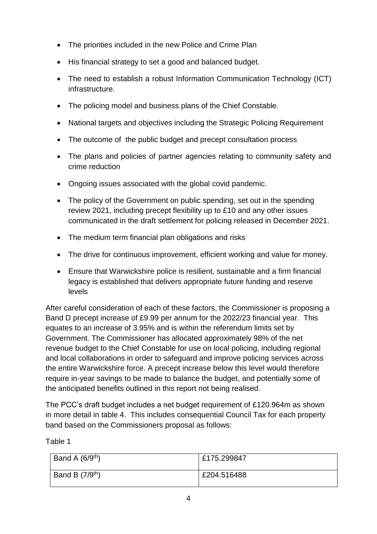- The priorities included in the new Police and Crime Plan
- His financial strategy to set a good and balanced budget.
- The need to establish a robust Information Communication Technology (ICT) infrastructure.
- The policing model and business plans of the Chief Constable.
- National targets and objectives including the Strategic Policing Requirement
- The outcome of the public budget and precept consultation process
- The plans and policies of partner agencies relating to community safety and crime reduction
- Ongoing issues associated with the global covid pandemic.
- The policy of the Government on public spending, set out in the spending review 2021, including precept flexibility up to £10 and any other issues communicated in the draft settlement for policing released in December 2021.
- The medium term financial plan obligations and risks
- The drive for continuous improvement, efficient working and value for money.
- Ensure that Warwickshire police is resilient, sustainable and a firm financial legacy is established that delivers appropriate future funding and reserve levels

After careful consideration of each of these factors, the Commissioner is proposing a Band D precept increase of £9.99 per annum for the 2022/23 financial year. This equates to an increase of 3.95% and is within the referendum limits set by Government. The Commissioner has allocated approximately 98% of the net revenue budget to the Chief Constable for use on local policing, including regional and local collaborations in order to safeguard and improve policing services across the entire Warwickshire force. A precept increase below this level would therefore require in-year savings to be made to balance the budget, and potentially some of the anticipated benefits outlined in this report not being realised.

The PCC's draft budget includes a net budget requirement of £120.964m as shown in more detail in table 4. This includes consequential Council Tax for each property band based on the Commissioners proposal as follows:

Table 1

| Band A $(6/9th)$ | £175.299847 |
|------------------|-------------|
| Band B $(7/9th)$ | £204.516488 |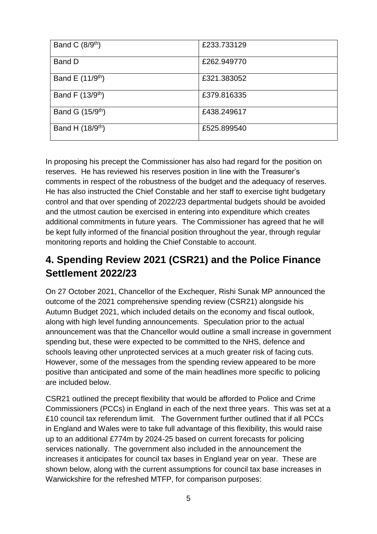| Band C $(8/9th)$             | £233.733129 |
|------------------------------|-------------|
| Band D                       | £262,949770 |
| Band E (11/9 <sup>th</sup> ) | £321.383052 |
| Band F (13/9 <sup>th</sup> ) | £379.816335 |
| Band G (15/9 <sup>th</sup> ) | £438.249617 |
| Band H (18/9 <sup>th</sup> ) | £525.899540 |

In proposing his precept the Commissioner has also had regard for the position on reserves. He has reviewed his reserves position in line with the Treasurer's comments in respect of the robustness of the budget and the adequacy of reserves. He has also instructed the Chief Constable and her staff to exercise tight budgetary control and that over spending of 2022/23 departmental budgets should be avoided and the utmost caution be exercised in entering into expenditure which creates additional commitments in future years. The Commissioner has agreed that he will be kept fully informed of the financial position throughout the year, through regular monitoring reports and holding the Chief Constable to account.

## **4. Spending Review 2021 (CSR21) and the Police Finance Settlement 2022/23**

On 27 October 2021, Chancellor of the Exchequer, Rishi Sunak MP announced the outcome of the 2021 comprehensive spending review (CSR21) alongside his Autumn Budget 2021, which included details on the economy and fiscal outlook, along with high level funding announcements. Speculation prior to the actual announcement was that the Chancellor would outline a small increase in government spending but, these were expected to be committed to the NHS, defence and schools leaving other unprotected services at a much greater risk of facing cuts. However, some of the messages from the spending review appeared to be more positive than anticipated and some of the main headlines more specific to policing are included below.

CSR21 outlined the precept flexibility that would be afforded to Police and Crime Commissioners (PCCs) in England in each of the next three years. This was set at a £10 council tax referendum limit. The Government further outlined that if all PCCs in England and Wales were to take full advantage of this flexibility, this would raise up to an additional £774m by 2024-25 based on current forecasts for policing services nationally. The government also included in the announcement the increases it anticipates for council tax bases in England year on year. These are shown below, along with the current assumptions for council tax base increases in Warwickshire for the refreshed MTFP, for comparison purposes: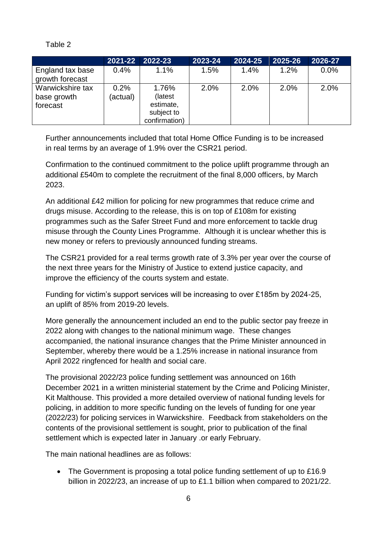**2021-22 2022-23 2023-24 2024-25 2025-26 2026-27** England tax base growth forecast 0.4% 1.1% 1.5% 1.4% 1.2% 0.0% Warwickshire tax base growth forecast  $0.2%$ (actual) 1.76% (latest estimate, subject to confirmation) 2.0% 2.0% 2.0% 2.0%

Further announcements included that total Home Office Funding is to be increased in real terms by an average of 1.9% over the CSR21 period.

Confirmation to the continued commitment to the police uplift programme through an additional £540m to complete the recruitment of the final 8,000 officers, by March 2023.

An additional £42 million for policing for new programmes that reduce crime and drugs misuse. According to the release, this is on top of £108m for existing programmes such as the Safer Street Fund and more enforcement to tackle drug misuse through the County Lines Programme. Although it is unclear whether this is new money or refers to previously announced funding streams.

The CSR21 provided for a real terms growth rate of 3.3% per year over the course of the next three years for the Ministry of Justice to extend justice capacity, and improve the efficiency of the courts system and estate.

Funding for victim's support services will be increasing to over £185m by 2024-25, an uplift of 85% from 2019-20 levels.

More generally the announcement included an end to the public sector pay freeze in 2022 along with changes to the national minimum wage. These changes accompanied, the national insurance changes that the Prime Minister announced in September, whereby there would be a 1.25% increase in national insurance from April 2022 ringfenced for health and social care.

The provisional 2022/23 police funding settlement was announced on 16th December 2021 in a written ministerial statement by the Crime and Policing Minister, Kit Malthouse. This provided a more detailed overview of national funding levels for policing, in addition to more specific funding on the levels of funding for one year (2022/23) for policing services in Warwickshire. Feedback from stakeholders on the contents of the provisional settlement is sought, prior to publication of the final settlement which is expected later in January .or early February.

The main national headlines are as follows:

Table 2

• The Government is proposing a total police funding settlement of up to £16.9 billion in 2022/23, an increase of up to £1.1 billion when compared to 2021/22.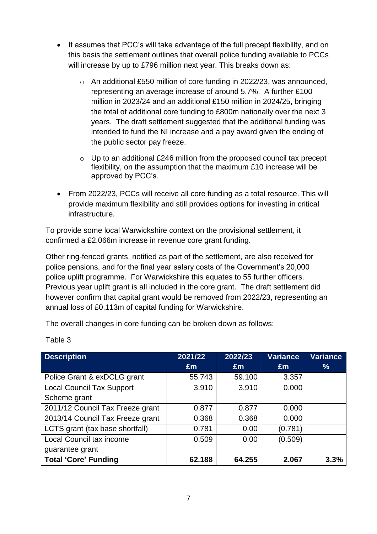- It assumes that PCC's will take advantage of the full precept flexibility, and on this basis the settlement outlines that overall police funding available to PCCs will increase by up to £796 million next year. This breaks down as:
	- o An additional £550 million of core funding in 2022/23, was announced, representing an average increase of around 5.7%. A further £100 million in 2023/24 and an additional £150 million in 2024/25, bringing the total of additional core funding to £800m nationally over the next 3 years. The draft settlement suggested that the additional funding was intended to fund the NI increase and a pay award given the ending of the public sector pay freeze.
	- $\circ$  Up to an additional £246 million from the proposed council tax precept flexibility, on the assumption that the maximum £10 increase will be approved by PCC's.
- From 2022/23, PCCs will receive all core funding as a total resource. This will provide maximum flexibility and still provides options for investing in critical infrastructure.

To provide some local Warwickshire context on the provisional settlement, it confirmed a £2.066m increase in revenue core grant funding.

Other ring-fenced grants, notified as part of the settlement, are also received for police pensions, and for the final year salary costs of the Government's 20,000 police uplift programme. For Warwickshire this equates to 55 further officers. Previous year uplift grant is all included in the core grant. The draft settlement did however confirm that capital grant would be removed from 2022/23, representing an annual loss of £0.113m of capital funding for Warwickshire.

The overall changes in core funding can be broken down as follows:

| <b>Description</b>               | 2021/22 | 2022/23        | <b>Variance</b> | <b>Variance</b> |
|----------------------------------|---------|----------------|-----------------|-----------------|
|                                  | Em      | $\mathbf{f}$ m | Em              | %               |
| Police Grant & exDCLG grant      | 55.743  | 59.100         | 3.357           |                 |
| <b>Local Council Tax Support</b> | 3.910   | 3.910          | 0.000           |                 |
| Scheme grant                     |         |                |                 |                 |
| 2011/12 Council Tax Freeze grant | 0.877   | 0.877          | 0.000           |                 |
| 2013/14 Council Tax Freeze grant | 0.368   | 0.368          | 0.000           |                 |
| LCTS grant (tax base shortfall)  | 0.781   | 0.00           | (0.781)         |                 |
| <b>Local Council tax income</b>  | 0.509   | 0.00           | (0.509)         |                 |
| guarantee grant                  |         |                |                 |                 |
| <b>Total 'Core' Funding</b>      | 62.188  | 64.255         | 2.067           | 3.3%            |

Table 3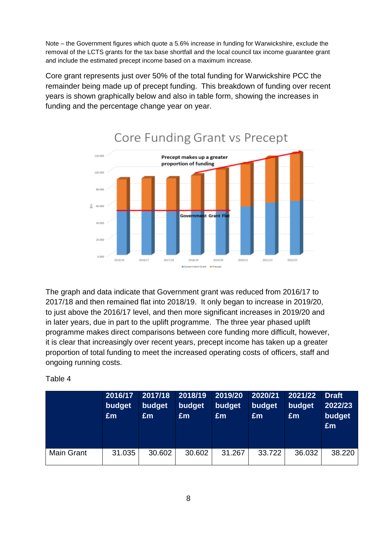Note – the Government figures which quote a 5.6% increase in funding for Warwickshire, exclude the removal of the LCTS grants for the tax base shortfall and the local council tax income guarantee grant and include the estimated precept income based on a maximum increase.

Core grant represents just over 50% of the total funding for Warwickshire PCC the remainder being made up of precept funding. This breakdown of funding over recent years is shown graphically below and also in table form, showing the increases in funding and the percentage change year on year.



## Core Funding Grant vs Precept

The graph and data indicate that Government grant was reduced from 2016/17 to 2017/18 and then remained flat into 2018/19. It only began to increase in 2019/20, to just above the 2016/17 level, and then more significant increases in 2019/20 and in later years, due in part to the uplift programme. The three year phased uplift programme makes direct comparisons between core funding more difficult, however, it is clear that increasingly over recent years, precept income has taken up a greater proportion of total funding to meet the increased operating costs of officers, staff and ongoing running costs.

Table 4

|                   | 2016/17<br>budget<br>£m | 2017/18<br>budget<br>Em | 2018/19<br>budget<br>Em | 2019/20<br>budget<br>£m | 2020/21<br>budget<br>Em | 2021/22<br>budget<br>Em | <b>Draft</b><br>2022/23<br>budget<br>£m |
|-------------------|-------------------------|-------------------------|-------------------------|-------------------------|-------------------------|-------------------------|-----------------------------------------|
| <b>Main Grant</b> | 31.035                  | 30.602                  | 30.602                  | 31.267                  | 33.722                  | 36.032                  | 38.220                                  |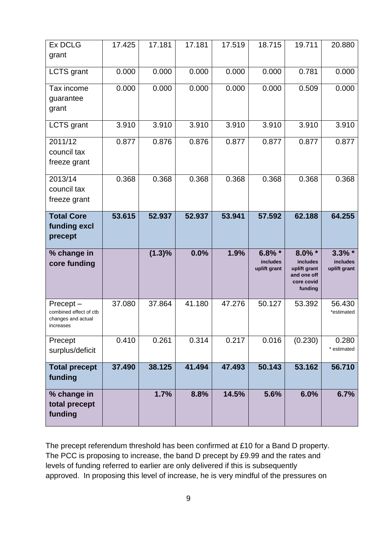| <b>Ex DCLG</b><br>grant                                               | 17.425 | 17.181    | 17.181 | 17.519 | 18.715                                       | 19.711                                                                        | 20.880                                |
|-----------------------------------------------------------------------|--------|-----------|--------|--------|----------------------------------------------|-------------------------------------------------------------------------------|---------------------------------------|
| <b>LCTS</b> grant                                                     | 0.000  | 0.000     | 0.000  | 0.000  | 0.000                                        | 0.781                                                                         | 0.000                                 |
| Tax income<br>guarantee<br>grant                                      | 0.000  | 0.000     | 0.000  | 0.000  | 0.000                                        | 0.509                                                                         | 0.000                                 |
| <b>LCTS</b> grant                                                     | 3.910  | 3.910     | 3.910  | 3.910  | 3.910                                        | 3.910                                                                         | 3.910                                 |
| 2011/12<br>council tax<br>freeze grant                                | 0.877  | 0.876     | 0.876  | 0.877  | 0.877                                        | 0.877                                                                         | 0.877                                 |
| 2013/14<br>council tax<br>freeze grant                                | 0.368  | 0.368     | 0.368  | 0.368  | 0.368                                        | 0.368                                                                         | 0.368                                 |
| <b>Total Core</b><br>funding excl<br>precept                          | 53.615 | 52.937    | 52.937 | 53.941 | 57.592                                       | 62.188                                                                        | 64.255                                |
| % change in<br>core funding                                           |        | $(1.3)\%$ | 0.0%   | 1.9%   | $6.8\%$ *<br><b>includes</b><br>uplift grant | $8.0\%$ *<br>includes<br>uplift grant<br>and one off<br>core covid<br>funding | $3.3\%$ *<br>includes<br>uplift grant |
| Precept-<br>combined effect of ctb<br>changes and actual<br>increases | 37.080 | 37.864    | 41.180 | 47.276 | 50.127                                       | 53.392                                                                        | 56.430<br>*estimated                  |
| Precept<br>surplus/deficit                                            | 0.410  | 0.261     | 0.314  | 0.217  | 0.016                                        | (0.230)                                                                       | 0.280<br>* estimated                  |
| <b>Total precept</b><br>funding                                       | 37.490 | 38.125    | 41.494 | 47.493 | 50.143                                       | 53.162                                                                        | 56.710                                |
| % change in<br>total precept<br>funding                               |        | 1.7%      | 8.8%   | 14.5%  | 5.6%                                         | 6.0%                                                                          | 6.7%                                  |

The precept referendum threshold has been confirmed at £10 for a Band D property. The PCC is proposing to increase, the band D precept by £9.99 and the rates and levels of funding referred to earlier are only delivered if this is subsequently approved. In proposing this level of increase, he is very mindful of the pressures on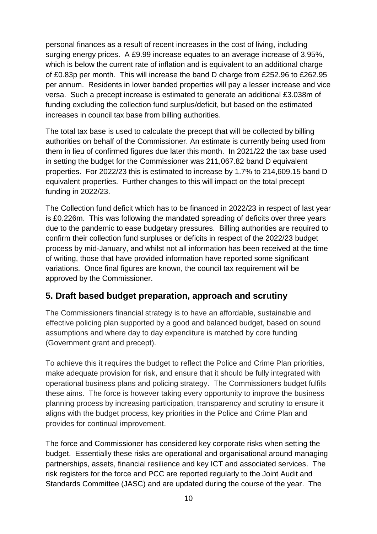personal finances as a result of recent increases in the cost of living, including surging energy prices. A £9.99 increase equates to an average increase of 3.95%, which is below the current rate of inflation and is equivalent to an additional charge of £0.83p per month. This will increase the band D charge from £252.96 to £262.95 per annum. Residents in lower banded properties will pay a lesser increase and vice versa. Such a precept increase is estimated to generate an additional £3.038m of funding excluding the collection fund surplus/deficit, but based on the estimated increases in council tax base from billing authorities.

The total tax base is used to calculate the precept that will be collected by billing authorities on behalf of the Commissioner. An estimate is currently being used from them in lieu of confirmed figures due later this month. In 2021/22 the tax base used in setting the budget for the Commissioner was 211,067.82 band D equivalent properties. For 2022/23 this is estimated to increase by 1.7% to 214,609.15 band D equivalent properties. Further changes to this will impact on the total precept funding in 2022/23.

The Collection fund deficit which has to be financed in 2022/23 in respect of last year is £0.226m. This was following the mandated spreading of deficits over three years due to the pandemic to ease budgetary pressures. Billing authorities are required to confirm their collection fund surpluses or deficits in respect of the 2022/23 budget process by mid-January, and whilst not all information has been received at the time of writing, those that have provided information have reported some significant variations. Once final figures are known, the council tax requirement will be approved by the Commissioner.

## **5. Draft based budget preparation, approach and scrutiny**

The Commissioners financial strategy is to have an affordable, sustainable and effective policing plan supported by a good and balanced budget, based on sound assumptions and where day to day expenditure is matched by core funding (Government grant and precept).

To achieve this it requires the budget to reflect the Police and Crime Plan priorities, make adequate provision for risk, and ensure that it should be fully integrated with operational business plans and policing strategy. The Commissioners budget fulfils these aims. The force is however taking every opportunity to improve the business planning process by increasing participation, transparency and scrutiny to ensure it aligns with the budget process, key priorities in the Police and Crime Plan and provides for continual improvement.

The force and Commissioner has considered key corporate risks when setting the budget. Essentially these risks are operational and organisational around managing partnerships, assets, financial resilience and key ICT and associated services. The risk registers for the force and PCC are reported regularly to the Joint Audit and Standards Committee (JASC) and are updated during the course of the year. The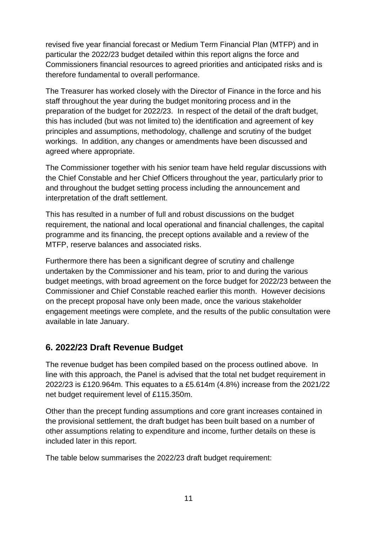revised five year financial forecast or Medium Term Financial Plan (MTFP) and in particular the 2022/23 budget detailed within this report aligns the force and Commissioners financial resources to agreed priorities and anticipated risks and is therefore fundamental to overall performance.

The Treasurer has worked closely with the Director of Finance in the force and his staff throughout the year during the budget monitoring process and in the preparation of the budget for 2022/23. In respect of the detail of the draft budget, this has included (but was not limited to) the identification and agreement of key principles and assumptions, methodology, challenge and scrutiny of the budget workings. In addition, any changes or amendments have been discussed and agreed where appropriate.

The Commissioner together with his senior team have held regular discussions with the Chief Constable and her Chief Officers throughout the year, particularly prior to and throughout the budget setting process including the announcement and interpretation of the draft settlement.

This has resulted in a number of full and robust discussions on the budget requirement, the national and local operational and financial challenges, the capital programme and its financing, the precept options available and a review of the MTFP, reserve balances and associated risks.

Furthermore there has been a significant degree of scrutiny and challenge undertaken by the Commissioner and his team, prior to and during the various budget meetings, with broad agreement on the force budget for 2022/23 between the Commissioner and Chief Constable reached earlier this month. However decisions on the precept proposal have only been made, once the various stakeholder engagement meetings were complete, and the results of the public consultation were available in late January.

## **6. 2022/23 Draft Revenue Budget**

The revenue budget has been compiled based on the process outlined above. In line with this approach, the Panel is advised that the total net budget requirement in 2022/23 is £120.964m. This equates to a £5.614m (4.8%) increase from the 2021/22 net budget requirement level of £115.350m.

Other than the precept funding assumptions and core grant increases contained in the provisional settlement, the draft budget has been built based on a number of other assumptions relating to expenditure and income, further details on these is included later in this report.

The table below summarises the 2022/23 draft budget requirement: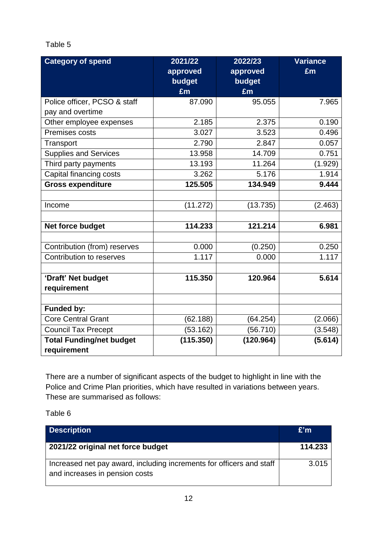#### Table 5

| <b>Category of spend</b>        | 2021/22   | 2022/23   | <b>Variance</b> |
|---------------------------------|-----------|-----------|-----------------|
|                                 | approved  | approved  | £m              |
|                                 | budget    | budget    |                 |
|                                 | £m        | £m        |                 |
| Police officer, PCSO & staff    | 87.090    | 95.055    | 7.965           |
| pay and overtime                |           |           |                 |
| Other employee expenses         | 2.185     | 2.375     | 0.190           |
| Premises costs                  | 3.027     | 3.523     | 0.496           |
| Transport                       | 2.790     | 2.847     | 0.057           |
| <b>Supplies and Services</b>    | 13.958    | 14.709    | 0.751           |
| Third party payments            | 13.193    | 11.264    | (1.929)         |
| Capital financing costs         | 3.262     | 5.176     | 1.914           |
| <b>Gross expenditure</b>        | 125.505   | 134.949   | 9.444           |
|                                 |           |           |                 |
| Income                          | (11.272)  | (13.735)  | (2.463)         |
|                                 |           |           |                 |
| Net force budget                | 114.233   | 121.214   | 6.981           |
| Contribution (from) reserves    | 0.000     | (0.250)   | 0.250           |
|                                 |           |           |                 |
| Contribution to reserves        | 1.117     | 0.000     | 1.117           |
| 'Draft' Net budget              | 115.350   | 120.964   | 5.614           |
| requirement                     |           |           |                 |
|                                 |           |           |                 |
| <b>Funded by:</b>               |           |           |                 |
| Core Central Grant              | (62.188)  | (64.254)  | (2.066)         |
| <b>Council Tax Precept</b>      | (53.162)  | (56.710)  | (3.548)         |
| <b>Total Funding/net budget</b> | (115.350) | (120.964) | (5.614)         |
| requirement                     |           |           |                 |

There are a number of significant aspects of the budget to highlight in line with the Police and Crime Plan priorities, which have resulted in variations between years. These are summarised as follows:

Table 6

| <b>Description</b>                                                                                     | E'm     |
|--------------------------------------------------------------------------------------------------------|---------|
| 2021/22 original net force budget                                                                      | 114.233 |
| Increased net pay award, including increments for officers and staff<br>and increases in pension costs | 3.015   |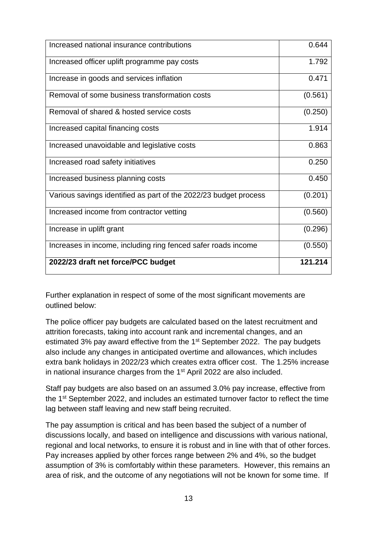| Increased national insurance contributions                       | 0.644   |
|------------------------------------------------------------------|---------|
| Increased officer uplift programme pay costs                     | 1.792   |
| Increase in goods and services inflation                         | 0.471   |
| Removal of some business transformation costs                    | (0.561) |
| Removal of shared & hosted service costs                         | (0.250) |
| Increased capital financing costs                                | 1.914   |
| Increased unavoidable and legislative costs                      | 0.863   |
| Increased road safety initiatives                                | 0.250   |
| Increased business planning costs                                | 0.450   |
| Various savings identified as part of the 2022/23 budget process | (0.201) |
| Increased income from contractor vetting                         | (0.560) |
| Increase in uplift grant                                         | (0.296) |
| Increases in income, including ring fenced safer roads income    | (0.550) |
| 2022/23 draft net force/PCC budget                               | 121.214 |

Further explanation in respect of some of the most significant movements are outlined below:

The police officer pay budgets are calculated based on the latest recruitment and attrition forecasts, taking into account rank and incremental changes, and an estimated 3% pay award effective from the 1<sup>st</sup> September 2022. The pay budgets also include any changes in anticipated overtime and allowances, which includes extra bank holidays in 2022/23 which creates extra officer cost. The 1.25% increase in national insurance charges from the 1st April 2022 are also included.

Staff pay budgets are also based on an assumed 3.0% pay increase, effective from the 1st September 2022, and includes an estimated turnover factor to reflect the time lag between staff leaving and new staff being recruited.

The pay assumption is critical and has been based the subject of a number of discussions locally, and based on intelligence and discussions with various national, regional and local networks, to ensure it is robust and in line with that of other forces. Pay increases applied by other forces range between 2% and 4%, so the budget assumption of 3% is comfortably within these parameters. However, this remains an area of risk, and the outcome of any negotiations will not be known for some time. If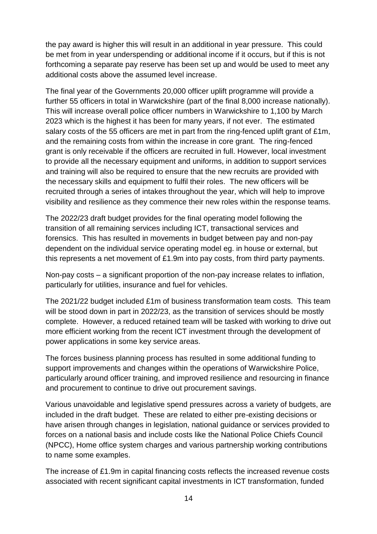the pay award is higher this will result in an additional in year pressure. This could be met from in year underspending or additional income if it occurs, but if this is not forthcoming a separate pay reserve has been set up and would be used to meet any additional costs above the assumed level increase.

The final year of the Governments 20,000 officer uplift programme will provide a further 55 officers in total in Warwickshire (part of the final 8,000 increase nationally). This will increase overall police officer numbers in Warwickshire to 1,100 by March 2023 which is the highest it has been for many years, if not ever. The estimated salary costs of the 55 officers are met in part from the ring-fenced uplift grant of £1m, and the remaining costs from within the increase in core grant. The ring-fenced grant is only receivable if the officers are recruited in full. However, local investment to provide all the necessary equipment and uniforms, in addition to support services and training will also be required to ensure that the new recruits are provided with the necessary skills and equipment to fulfil their roles. The new officers will be recruited through a series of intakes throughout the year, which will help to improve visibility and resilience as they commence their new roles within the response teams.

The 2022/23 draft budget provides for the final operating model following the transition of all remaining services including ICT, transactional services and forensics. This has resulted in movements in budget between pay and non-pay dependent on the individual service operating model eg. in house or external, but this represents a net movement of £1.9m into pay costs, from third party payments.

Non-pay costs – a significant proportion of the non-pay increase relates to inflation, particularly for utilities, insurance and fuel for vehicles.

The 2021/22 budget included £1m of business transformation team costs. This team will be stood down in part in 2022/23, as the transition of services should be mostly complete. However, a reduced retained team will be tasked with working to drive out more efficient working from the recent ICT investment through the development of power applications in some key service areas.

The forces business planning process has resulted in some additional funding to support improvements and changes within the operations of Warwickshire Police, particularly around officer training, and improved resilience and resourcing in finance and procurement to continue to drive out procurement savings.

Various unavoidable and legislative spend pressures across a variety of budgets, are included in the draft budget. These are related to either pre-existing decisions or have arisen through changes in legislation, national guidance or services provided to forces on a national basis and include costs like the National Police Chiefs Council (NPCC), Home office system charges and various partnership working contributions to name some examples.

The increase of £1.9m in capital financing costs reflects the increased revenue costs associated with recent significant capital investments in ICT transformation, funded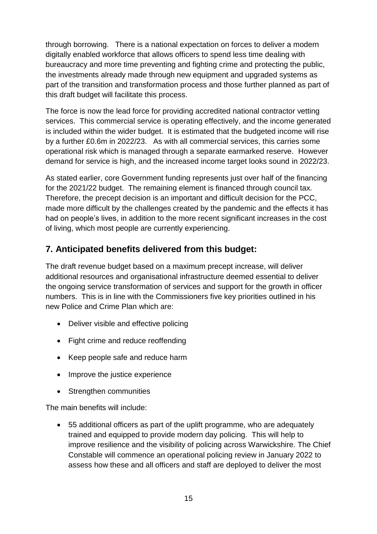through borrowing. There is a national expectation on forces to deliver a modern digitally enabled workforce that allows officers to spend less time dealing with bureaucracy and more time preventing and fighting crime and protecting the public, the investments already made through new equipment and upgraded systems as part of the transition and transformation process and those further planned as part of this draft budget will facilitate this process.

The force is now the lead force for providing accredited national contractor vetting services. This commercial service is operating effectively, and the income generated is included within the wider budget. It is estimated that the budgeted income will rise by a further £0.6m in 2022/23. As with all commercial services, this carries some operational risk which is managed through a separate earmarked reserve. However demand for service is high, and the increased income target looks sound in 2022/23.

As stated earlier, core Government funding represents just over half of the financing for the 2021/22 budget. The remaining element is financed through council tax. Therefore, the precept decision is an important and difficult decision for the PCC, made more difficult by the challenges created by the pandemic and the effects it has had on people's lives, in addition to the more recent significant increases in the cost of living, which most people are currently experiencing.

## **7. Anticipated benefits delivered from this budget:**

The draft revenue budget based on a maximum precept increase, will deliver additional resources and organisational infrastructure deemed essential to deliver the ongoing service transformation of services and support for the growth in officer numbers. This is in line with the Commissioners five key priorities outlined in his new Police and Crime Plan which are:

- Deliver visible and effective policing
- Fight crime and reduce reoffending
- Keep people safe and reduce harm
- Improve the justice experience
- Strengthen communities

The main benefits will include:

 55 additional officers as part of the uplift programme, who are adequately trained and equipped to provide modern day policing. This will help to improve resilience and the visibility of policing across Warwickshire. The Chief Constable will commence an operational policing review in January 2022 to assess how these and all officers and staff are deployed to deliver the most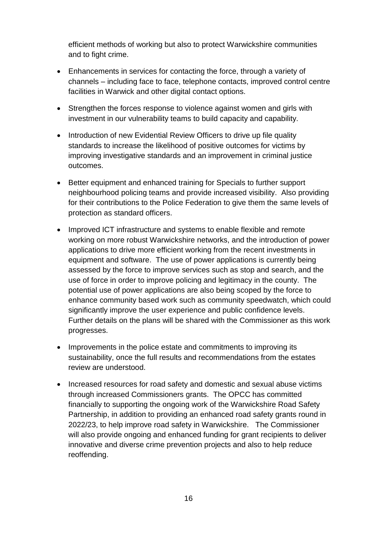efficient methods of working but also to protect Warwickshire communities and to fight crime.

- Enhancements in services for contacting the force, through a variety of channels – including face to face, telephone contacts, improved control centre facilities in Warwick and other digital contact options.
- Strengthen the forces response to violence against women and girls with investment in our vulnerability teams to build capacity and capability.
- Introduction of new Evidential Review Officers to drive up file quality standards to increase the likelihood of positive outcomes for victims by improving investigative standards and an improvement in criminal justice outcomes.
- Better equipment and enhanced training for Specials to further support neighbourhood policing teams and provide increased visibility. Also providing for their contributions to the Police Federation to give them the same levels of protection as standard officers.
- Improved ICT infrastructure and systems to enable flexible and remote working on more robust Warwickshire networks, and the introduction of power applications to drive more efficient working from the recent investments in equipment and software. The use of power applications is currently being assessed by the force to improve services such as stop and search, and the use of force in order to improve policing and legitimacy in the county. The potential use of power applications are also being scoped by the force to enhance community based work such as community speedwatch, which could significantly improve the user experience and public confidence levels. Further details on the plans will be shared with the Commissioner as this work progresses.
- Improvements in the police estate and commitments to improving its sustainability, once the full results and recommendations from the estates review are understood.
- Increased resources for road safety and domestic and sexual abuse victims through increased Commissioners grants. The OPCC has committed financially to supporting the ongoing work of the Warwickshire Road Safety Partnership, in addition to providing an enhanced road safety grants round in 2022/23, to help improve road safety in Warwickshire. The Commissioner will also provide ongoing and enhanced funding for grant recipients to deliver innovative and diverse crime prevention projects and also to help reduce reoffending.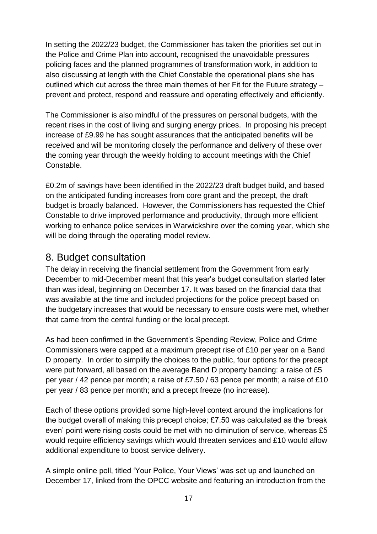In setting the 2022/23 budget, the Commissioner has taken the priorities set out in the Police and Crime Plan into account, recognised the unavoidable pressures policing faces and the planned programmes of transformation work, in addition to also discussing at length with the Chief Constable the operational plans she has outlined which cut across the three main themes of her Fit for the Future strategy – prevent and protect, respond and reassure and operating effectively and efficiently.

The Commissioner is also mindful of the pressures on personal budgets, with the recent rises in the cost of living and surging energy prices. In proposing his precept increase of £9.99 he has sought assurances that the anticipated benefits will be received and will be monitoring closely the performance and delivery of these over the coming year through the weekly holding to account meetings with the Chief Constable.

£0.2m of savings have been identified in the 2022/23 draft budget build, and based on the anticipated funding increases from core grant and the precept, the draft budget is broadly balanced. However, the Commissioners has requested the Chief Constable to drive improved performance and productivity, through more efficient working to enhance police services in Warwickshire over the coming year, which she will be doing through the operating model review.

## 8. Budget consultation

The delay in receiving the financial settlement from the Government from early December to mid-December meant that this year's budget consultation started later than was ideal, beginning on December 17. It was based on the financial data that was available at the time and included projections for the police precept based on the budgetary increases that would be necessary to ensure costs were met, whether that came from the central funding or the local precept.

As had been confirmed in the Government's Spending Review, Police and Crime Commissioners were capped at a maximum precept rise of £10 per year on a Band D property. In order to simplify the choices to the public, four options for the precept were put forward, all based on the average Band D property banding: a raise of £5 per year / 42 pence per month; a raise of £7.50 / 63 pence per month; a raise of £10 per year / 83 pence per month; and a precept freeze (no increase).

Each of these options provided some high-level context around the implications for the budget overall of making this precept choice; £7.50 was calculated as the 'break even' point were rising costs could be met with no diminution of service, whereas £5 would require efficiency savings which would threaten services and £10 would allow additional expenditure to boost service delivery.

A simple online poll, titled 'Your Police, Your Views' was set up and launched on December 17, linked from the OPCC website and featuring an introduction from the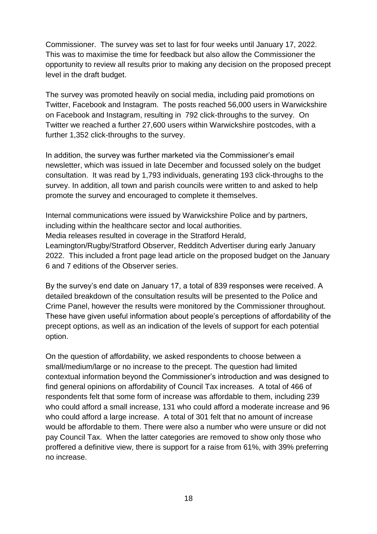Commissioner. The survey was set to last for four weeks until January 17, 2022. This was to maximise the time for feedback but also allow the Commissioner the opportunity to review all results prior to making any decision on the proposed precept level in the draft budget.

The survey was promoted heavily on social media, including paid promotions on Twitter, Facebook and Instagram. The posts reached 56,000 users in Warwickshire on Facebook and Instagram, resulting in 792 click-throughs to the survey. On Twitter we reached a further 27,600 users within Warwickshire postcodes, with a further 1,352 click-throughs to the survey.

In addition, the survey was further marketed via the Commissioner's email newsletter, which was issued in late December and focussed solely on the budget consultation. It was read by 1,793 individuals, generating 193 click-throughs to the survey. In addition, all town and parish councils were written to and asked to help promote the survey and encouraged to complete it themselves.

Internal communications were issued by Warwickshire Police and by partners, including within the healthcare sector and local authorities. Media releases resulted in coverage in the Stratford Herald, Leamington/Rugby/Stratford Observer, Redditch Advertiser during early January 2022. This included a front page lead article on the proposed budget on the January 6 and 7 editions of the Observer series.

By the survey's end date on January 17, a total of 839 responses were received. A detailed breakdown of the consultation results will be presented to the Police and Crime Panel, however the results were monitored by the Commissioner throughout. These have given useful information about people's perceptions of affordability of the precept options, as well as an indication of the levels of support for each potential option.

On the question of affordability, we asked respondents to choose between a small/medium/large or no increase to the precept. The question had limited contextual information beyond the Commissioner's introduction and was designed to find general opinions on affordability of Council Tax increases. A total of 466 of respondents felt that some form of increase was affordable to them, including 239 who could afford a small increase, 131 who could afford a moderate increase and 96 who could afford a large increase. A total of 301 felt that no amount of increase would be affordable to them. There were also a number who were unsure or did not pay Council Tax. When the latter categories are removed to show only those who proffered a definitive view, there is support for a raise from 61%, with 39% preferring no increase.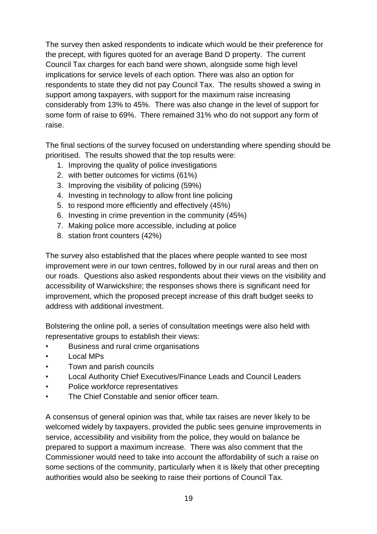The survey then asked respondents to indicate which would be their preference for the precept, with figures quoted for an average Band D property. The current Council Tax charges for each band were shown, alongside some high level implications for service levels of each option. There was also an option for respondents to state they did not pay Council Tax. The results showed a swing in support among taxpayers, with support for the maximum raise increasing considerably from 13% to 45%. There was also change in the level of support for some form of raise to 69%. There remained 31% who do not support any form of raise.

The final sections of the survey focused on understanding where spending should be prioritised. The results showed that the top results were:

- 1. Improving the quality of police investigations
- 2. with better outcomes for victims (61%)
- 3. Improving the visibility of policing (59%)
- 4. Investing in technology to allow front line policing
- 5. to respond more efficiently and effectively (45%)
- 6. Investing in crime prevention in the community (45%)
- 7. Making police more accessible, including at police
- 8. station front counters (42%)

The survey also established that the places where people wanted to see most improvement were in our town centres, followed by in our rural areas and then on our roads. Questions also asked respondents about their views on the visibility and accessibility of Warwickshire; the responses shows there is significant need for improvement, which the proposed precept increase of this draft budget seeks to address with additional investment.

Bolstering the online poll, a series of consultation meetings were also held with representative groups to establish their views:

- Business and rural crime organisations
- Local MPs
- Town and parish councils
- Local Authority Chief Executives/Finance Leads and Council Leaders
- Police workforce representatives
- The Chief Constable and senior officer team.

A consensus of general opinion was that, while tax raises are never likely to be welcomed widely by taxpayers, provided the public sees genuine improvements in service, accessibility and visibility from the police, they would on balance be prepared to support a maximum increase. There was also comment that the Commissioner would need to take into account the affordability of such a raise on some sections of the community, particularly when it is likely that other precepting authorities would also be seeking to raise their portions of Council Tax.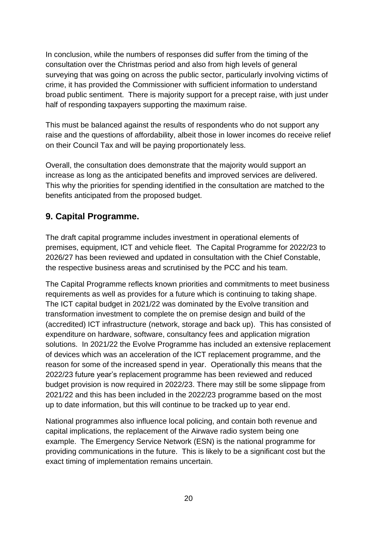In conclusion, while the numbers of responses did suffer from the timing of the consultation over the Christmas period and also from high levels of general surveying that was going on across the public sector, particularly involving victims of crime, it has provided the Commissioner with sufficient information to understand broad public sentiment. There is majority support for a precept raise, with just under half of responding taxpayers supporting the maximum raise.

This must be balanced against the results of respondents who do not support any raise and the questions of affordability, albeit those in lower incomes do receive relief on their Council Tax and will be paying proportionately less.

Overall, the consultation does demonstrate that the majority would support an increase as long as the anticipated benefits and improved services are delivered. This why the priorities for spending identified in the consultation are matched to the benefits anticipated from the proposed budget.

## **9. Capital Programme.**

The draft capital programme includes investment in operational elements of premises, equipment, ICT and vehicle fleet. The Capital Programme for 2022/23 to 2026/27 has been reviewed and updated in consultation with the Chief Constable, the respective business areas and scrutinised by the PCC and his team.

The Capital Programme reflects known priorities and commitments to meet business requirements as well as provides for a future which is continuing to taking shape. The ICT capital budget in 2021/22 was dominated by the Evolve transition and transformation investment to complete the on premise design and build of the (accredited) ICT infrastructure (network, storage and back up). This has consisted of expenditure on hardware, software, consultancy fees and application migration solutions. In 2021/22 the Evolve Programme has included an extensive replacement of devices which was an acceleration of the ICT replacement programme, and the reason for some of the increased spend in year. Operationally this means that the 2022/23 future year's replacement programme has been reviewed and reduced budget provision is now required in 2022/23. There may still be some slippage from 2021/22 and this has been included in the 2022/23 programme based on the most up to date information, but this will continue to be tracked up to year end.

National programmes also influence local policing, and contain both revenue and capital implications, the replacement of the Airwave radio system being one example. The Emergency Service Network (ESN) is the national programme for providing communications in the future. This is likely to be a significant cost but the exact timing of implementation remains uncertain.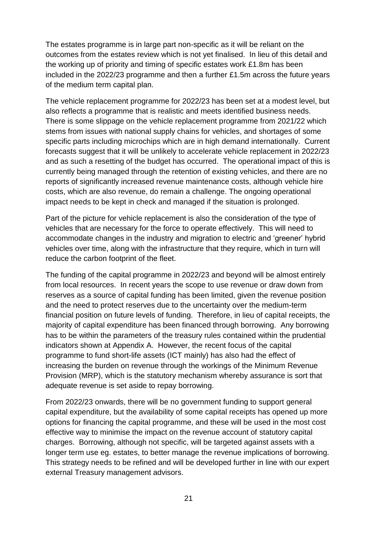The estates programme is in large part non-specific as it will be reliant on the outcomes from the estates review which is not yet finalised. In lieu of this detail and the working up of priority and timing of specific estates work £1.8m has been included in the 2022/23 programme and then a further £1.5m across the future years of the medium term capital plan.

The vehicle replacement programme for 2022/23 has been set at a modest level, but also reflects a programme that is realistic and meets identified business needs. There is some slippage on the vehicle replacement programme from 2021/22 which stems from issues with national supply chains for vehicles, and shortages of some specific parts including microchips which are in high demand internationally. Current forecasts suggest that it will be unlikely to accelerate vehicle replacement in 2022/23 and as such a resetting of the budget has occurred. The operational impact of this is currently being managed through the retention of existing vehicles, and there are no reports of significantly increased revenue maintenance costs, although vehicle hire costs, which are also revenue, do remain a challenge. The ongoing operational impact needs to be kept in check and managed if the situation is prolonged.

Part of the picture for vehicle replacement is also the consideration of the type of vehicles that are necessary for the force to operate effectively. This will need to accommodate changes in the industry and migration to electric and 'greener' hybrid vehicles over time, along with the infrastructure that they require, which in turn will reduce the carbon footprint of the fleet.

The funding of the capital programme in 2022/23 and beyond will be almost entirely from local resources. In recent years the scope to use revenue or draw down from reserves as a source of capital funding has been limited, given the revenue position and the need to protect reserves due to the uncertainty over the medium-term financial position on future levels of funding. Therefore, in lieu of capital receipts, the majority of capital expenditure has been financed through borrowing. Any borrowing has to be within the parameters of the treasury rules contained within the prudential indicators shown at Appendix A. However, the recent focus of the capital programme to fund short-life assets (ICT mainly) has also had the effect of increasing the burden on revenue through the workings of the Minimum Revenue Provision (MRP), which is the statutory mechanism whereby assurance is sort that adequate revenue is set aside to repay borrowing.

From 2022/23 onwards, there will be no government funding to support general capital expenditure, but the availability of some capital receipts has opened up more options for financing the capital programme, and these will be used in the most cost effective way to minimise the impact on the revenue account of statutory capital charges. Borrowing, although not specific, will be targeted against assets with a longer term use eg. estates, to better manage the revenue implications of borrowing. This strategy needs to be refined and will be developed further in line with our expert external Treasury management advisors.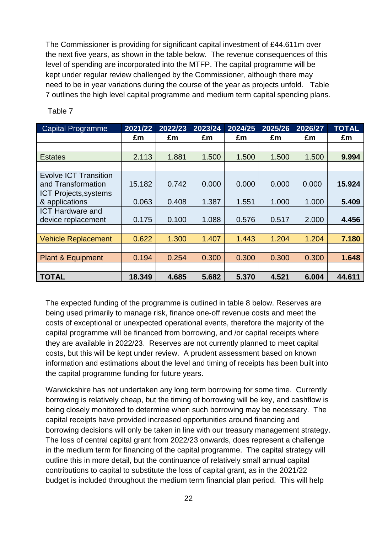The Commissioner is providing for significant capital investment of £44.611m over the next five years, as shown in the table below. The revenue consequences of this level of spending are incorporated into the MTFP. The capital programme will be kept under regular review challenged by the Commissioner, although there may need to be in year variations during the course of the year as projects unfold. Table 7 outlines the high level capital programme and medium term capital spending plans.

| <b>Capital Programme</b>     | 2021/22 | 2022/23 | 2023/24 | 2024/25 | 2025/26 | 2026/27 | <b>TOTAL</b> |
|------------------------------|---------|---------|---------|---------|---------|---------|--------------|
|                              | £m      | £m      | £m      | £m      | £m      | £m      | £m           |
|                              |         |         |         |         |         |         |              |
| <b>Estates</b>               | 2.113   | 1.881   | 1.500   | 1.500   | 1.500   | 1.500   | 9.994        |
|                              |         |         |         |         |         |         |              |
| <b>Evolve ICT Transition</b> |         |         |         |         |         |         |              |
| and Transformation           | 15.182  | 0.742   | 0.000   | 0.000   | 0.000   | 0.000   | 15.924       |
| <b>ICT Projects, systems</b> |         |         |         |         |         |         |              |
| & applications               | 0.063   | 0.408   | 1.387   | 1.551   | 1.000   | 1.000   | 5.409        |
| <b>ICT Hardware and</b>      |         |         |         |         |         |         |              |
| device replacement           | 0.175   | 0.100   | 1.088   | 0.576   | 0.517   | 2.000   | 4.456        |
|                              |         |         |         |         |         |         |              |
| <b>Vehicle Replacement</b>   | 0.622   | 1.300   | 1.407   | 1.443   | 1.204   | 1.204   | 7.180        |
|                              |         |         |         |         |         |         |              |
| <b>Plant &amp; Equipment</b> | 0.194   | 0.254   | 0.300   | 0.300   | 0.300   | 0.300   | 1.648        |
|                              |         |         |         |         |         |         |              |
| <b>TOTAL</b>                 | 18.349  | 4.685   | 5.682   | 5.370   | 4.521   | 6.004   | 44.611       |

Table 7

The expected funding of the programme is outlined in table 8 below. Reserves are being used primarily to manage risk, finance one-off revenue costs and meet the costs of exceptional or unexpected operational events, therefore the majority of the capital programme will be financed from borrowing, and /or capital receipts where they are available in 2022/23. Reserves are not currently planned to meet capital costs, but this will be kept under review. A prudent assessment based on known information and estimations about the level and timing of receipts has been built into the capital programme funding for future years.

Warwickshire has not undertaken any long term borrowing for some time. Currently borrowing is relatively cheap, but the timing of borrowing will be key, and cashflow is being closely monitored to determine when such borrowing may be necessary. The capital receipts have provided increased opportunities around financing and borrowing decisions will only be taken in line with our treasury management strategy. The loss of central capital grant from 2022/23 onwards, does represent a challenge in the medium term for financing of the capital programme. The capital strategy will outline this in more detail, but the continuance of relatively small annual capital contributions to capital to substitute the loss of capital grant, as in the 2021/22 budget is included throughout the medium term financial plan period. This will help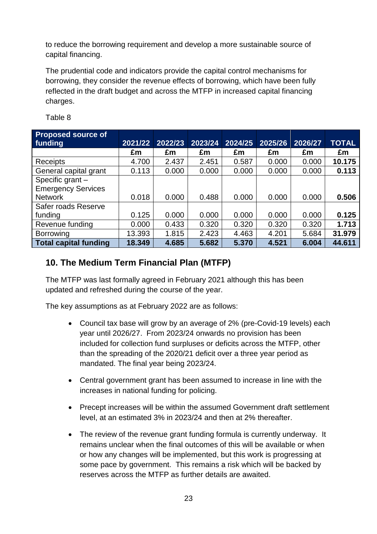to reduce the borrowing requirement and develop a more sustainable source of capital financing.

The prudential code and indicators provide the capital control mechanisms for borrowing, they consider the revenue effects of borrowing, which have been fully reflected in the draft budget and across the MTFP in increased capital financing charges.

| <b>Proposed source of</b><br>funding | 2021/22 | 2022/23 | 2023/24 | 2024/25 | 2025/26 | 2026/27 | <b>TOTAL</b> |
|--------------------------------------|---------|---------|---------|---------|---------|---------|--------------|
|                                      | £m      | £m      | £m      | £m      | £m      | £m      | £m           |
| Receipts                             | 4.700   | 2.437   | 2.451   | 0.587   | 0.000   | 0.000   | 10.175       |
| General capital grant                | 0.113   | 0.000   | 0.000   | 0.000   | 0.000   | 0.000   | 0.113        |
| Specific grant -                     |         |         |         |         |         |         |              |
| <b>Emergency Services</b>            |         |         |         |         |         |         |              |
| <b>Network</b>                       | 0.018   | 0.000   | 0.488   | 0.000   | 0.000   | 0.000   | 0.506        |
| Safer roads Reserve                  |         |         |         |         |         |         |              |
| funding                              | 0.125   | 0.000   | 0.000   | 0.000   | 0.000   | 0.000   | 0.125        |
| Revenue funding                      | 0.000   | 0.433   | 0.320   | 0.320   | 0.320   | 0.320   | 1.713        |
| <b>Borrowing</b>                     | 13.393  | 1.815   | 2.423   | 4.463   | 4.201   | 5.684   | 31.979       |
| <b>Total capital funding</b>         | 18.349  | 4.685   | 5.682   | 5.370   | 4.521   | 6.004   | 44.611       |

Table 8

### **10. The Medium Term Financial Plan (MTFP)**

The MTFP was last formally agreed in February 2021 although this has been updated and refreshed during the course of the year.

The key assumptions as at February 2022 are as follows:

- Council tax base will grow by an average of 2% (pre-Covid-19 levels) each year until 2026/27. From 2023/24 onwards no provision has been included for collection fund surpluses or deficits across the MTFP, other than the spreading of the 2020/21 deficit over a three year period as mandated. The final year being 2023/24.
- Central government grant has been assumed to increase in line with the increases in national funding for policing.
- Precept increases will be within the assumed Government draft settlement level, at an estimated 3% in 2023/24 and then at 2% thereafter.
- The review of the revenue grant funding formula is currently underway. It remains unclear when the final outcomes of this will be available or when or how any changes will be implemented, but this work is progressing at some pace by government. This remains a risk which will be backed by reserves across the MTFP as further details are awaited.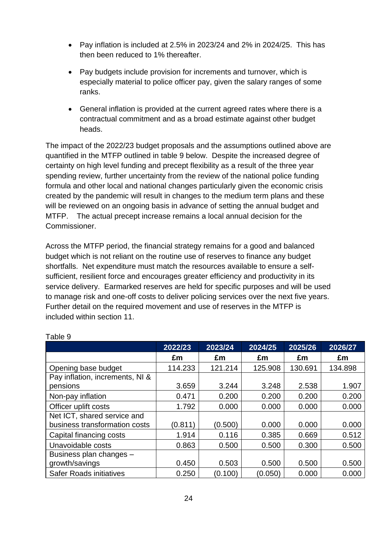- Pay inflation is included at 2.5% in 2023/24 and 2% in 2024/25. This has then been reduced to 1% thereafter.
- Pay budgets include provision for increments and turnover, which is especially material to police officer pay, given the salary ranges of some ranks.
- General inflation is provided at the current agreed rates where there is a contractual commitment and as a broad estimate against other budget heads.

The impact of the 2022/23 budget proposals and the assumptions outlined above are quantified in the MTFP outlined in table 9 below. Despite the increased degree of certainty on high level funding and precept flexibility as a result of the three year spending review, further uncertainty from the review of the national police funding formula and other local and national changes particularly given the economic crisis created by the pandemic will result in changes to the medium term plans and these will be reviewed on an ongoing basis in advance of setting the annual budget and MTFP. The actual precept increase remains a local annual decision for the Commissioner.

Across the MTFP period, the financial strategy remains for a good and balanced budget which is not reliant on the routine use of reserves to finance any budget shortfalls. Net expenditure must match the resources available to ensure a selfsufficient, resilient force and encourages greater efficiency and productivity in its service delivery. Earmarked reserves are held for specific purposes and will be used to manage risk and one-off costs to deliver policing services over the next five years. Further detail on the required movement and use of reserves in the MTFP is included within section 11.

|                                 | 2022/23 | 2023/24 | 2024/25 | 2025/26 | 2026/27 |
|---------------------------------|---------|---------|---------|---------|---------|
|                                 | £m      | £m      | £m      | £m      | £m      |
| Opening base budget             | 114.233 | 121.214 | 125.908 | 130.691 | 134.898 |
| Pay inflation, increments, NI & |         |         |         |         |         |
| pensions                        | 3.659   | 3.244   | 3.248   | 2.538   | 1.907   |
| Non-pay inflation               | 0.471   | 0.200   | 0.200   | 0.200   | 0.200   |
| Officer uplift costs            | 1.792   | 0.000   | 0.000   | 0.000   | 0.000   |
| Net ICT, shared service and     |         |         |         |         |         |
| business transformation costs   | (0.811) | (0.500) | 0.000   | 0.000   | 0.000   |
| Capital financing costs         | 1.914   | 0.116   | 0.385   | 0.669   | 0.512   |
| Unavoidable costs               | 0.863   | 0.500   | 0.500   | 0.300   | 0.500   |
| Business plan changes -         |         |         |         |         |         |
| growth/savings                  | 0.450   | 0.503   | 0.500   | 0.500   | 0.500   |
| <b>Safer Roads initiatives</b>  | 0.250   | (0.100) | (0.050) | 0.000   | 0.000   |

#### Table 9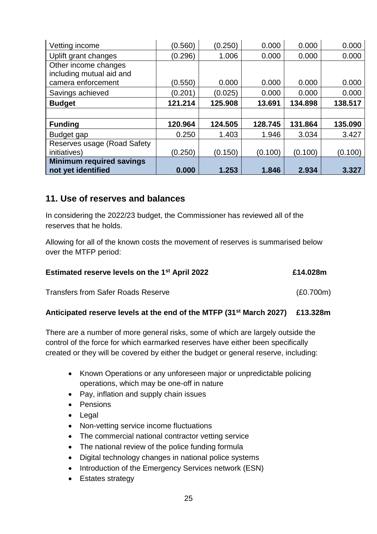| Vetting income                                        | (0.560) | (0.250) | 0.000   | 0.000   | 0.000   |
|-------------------------------------------------------|---------|---------|---------|---------|---------|
| Uplift grant changes                                  | (0.296) | 1.006   | 0.000   | 0.000   | 0.000   |
| Other income changes<br>including mutual aid and      |         |         |         |         |         |
| camera enforcement                                    | (0.550) | 0.000   | 0.000   | 0.000   | 0.000   |
| Savings achieved                                      | (0.201) | (0.025) | 0.000   | 0.000   | 0.000   |
| <b>Budget</b>                                         | 121.214 | 125.908 | 13.691  | 134.898 | 138.517 |
|                                                       |         |         |         |         |         |
| <b>Funding</b>                                        | 120.964 | 124.505 | 128.745 | 131.864 | 135.090 |
| Budget gap                                            | 0.250   | 1.403   | 1.946   | 3.034   | 3.427   |
| Reserves usage (Road Safety                           |         |         |         |         |         |
| initiatives)                                          | (0.250) | (0.150) | (0.100) | (0.100) | (0.100) |
| <b>Minimum required savings</b><br>not yet identified | 0.000   | 1.253   | 1.846   | 2.934   | 3.327   |

#### **11. Use of reserves and balances**

In considering the 2022/23 budget, the Commissioner has reviewed all of the reserves that he holds.

Allowing for all of the known costs the movement of reserves is summarised below over the MTFP period:

| <b>Estimated reserve levels on the 1st April 2022</b> | £14.028m  |
|-------------------------------------------------------|-----------|
| <b>Transfers from Safer Roads Reserve</b>             | (E0.700m) |

#### **Anticipated reserve levels at the end of the MTFP (31st March 2027) £13.328m**

There are a number of more general risks, some of which are largely outside the control of the force for which earmarked reserves have either been specifically created or they will be covered by either the budget or general reserve, including:

- Known Operations or any unforeseen major or unpredictable policing operations, which may be one-off in nature
- Pay, inflation and supply chain issues
- Pensions
- Legal
- Non-vetting service income fluctuations
- The commercial national contractor vetting service
- The national review of the police funding formula
- Digital technology changes in national police systems
- Introduction of the Emergency Services network (ESN)
- Estates strategy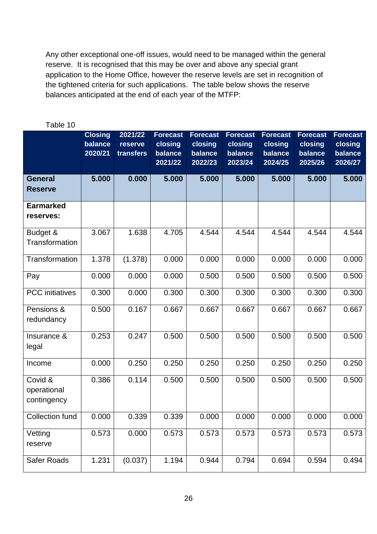Any other exceptional one-off issues, would need to be managed within the general reserve. It is recognised that this may be over and above any special grant application to the Home Office, however the reserve levels are set in recognition of the tightened criteria for such applications. The table below shows the reserve balances anticipated at the end of each year of the MTFP:

|                                       | <b>Closing</b>     | 2021/22   | <b>Forecast</b>    | <b>Forecast</b>    | <b>Forecast</b>    | <b>Forecast</b>    | <b>Forecast</b>    | <b>Forecast</b>    |
|---------------------------------------|--------------------|-----------|--------------------|--------------------|--------------------|--------------------|--------------------|--------------------|
|                                       | balance<br>2020/21 | reserve   | closing<br>balance | closing<br>balance | closing<br>balance | closing<br>balance | closing<br>balance | closing<br>balance |
|                                       |                    | transfers | 2021/22            | 2022/23            | 2023/24            | 2024/25            | 2025/26            | 2026/27            |
|                                       |                    |           |                    |                    |                    |                    |                    |                    |
| <b>General</b><br><b>Reserve</b>      | 5.000              | 0.000     | 5.000              | 5.000              | 5.000              | 5.000              | 5.000              | 5.000              |
| <b>Earmarked</b>                      |                    |           |                    |                    |                    |                    |                    |                    |
| reserves:                             |                    |           |                    |                    |                    |                    |                    |                    |
| Budget &<br><b>Transformation</b>     | 3.067              | 1.638     | 4.705              | 4.544              | 4.544              | 4.544              | 4.544              | 4.544              |
|                                       |                    |           |                    |                    |                    |                    |                    |                    |
| <b>Transformation</b>                 | 1.378              | (1.378)   | 0.000              | 0.000              | 0.000              | 0.000              | 0.000              | 0.000              |
| Pay                                   | 0.000              | 0.000     | 0.000              | 0.500              | 0.500              | 0.500              | 0.500              | 0.500              |
| <b>PCC</b> initiatives                | 0.300              | 0.000     | 0.300              | 0.300              | 0.300              | 0.300              | 0.300              | 0.300              |
| Pensions &<br>redundancy              | 0.500              | 0.167     | 0.667              | 0.667              | 0.667              | 0.667              | 0.667              | 0.667              |
| Insurance &<br>legal                  | 0.253              | 0.247     | 0.500              | 0.500              | 0.500              | 0.500              | 0.500              | 0.500              |
| Income                                | 0.000              | 0.250     | 0.250              | 0.250              | 0.250              | 0.250              | 0.250              | 0.250              |
| Covid &<br>operational<br>contingency | 0.386              | 0.114     | 0.500              | 0.500              | 0.500              | 0.500              | 0.500              | 0.500              |
| <b>Collection fund</b>                | 0.000              | 0.339     | 0.339              | 0.000              | 0.000              | 0.000              | 0.000              | 0.000              |
| Vetting<br>reserve                    | 0.573              | 0.000     | 0.573              | 0.573              | 0.573              | 0.573              | 0.573              | 0.573              |
| Safer Roads                           | 1.231              | (0.037)   | 1.194              | 0.944              | 0.794              | 0.694              | 0.594              | 0.494              |

#### Table 10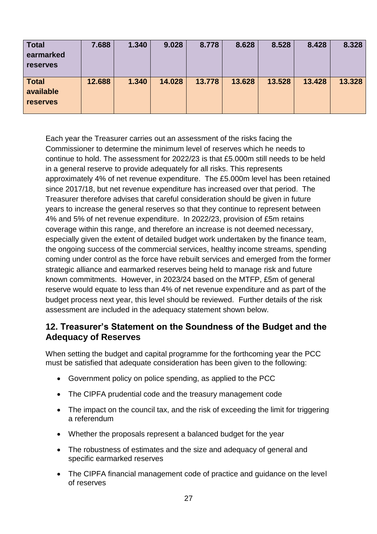| <b>Total</b><br>earmarked<br><b>reserves</b> | 7.688  | 1.340 | 9.028  | 8.778  | 8.628  | 8.528  | 8.428  | 8.328  |
|----------------------------------------------|--------|-------|--------|--------|--------|--------|--------|--------|
| <b>Total</b><br>available<br><b>reserves</b> | 12.688 | 1.340 | 14.028 | 13.778 | 13.628 | 13.528 | 13.428 | 13.328 |

Each year the Treasurer carries out an assessment of the risks facing the Commissioner to determine the minimum level of reserves which he needs to continue to hold. The assessment for 2022/23 is that £5.000m still needs to be held in a general reserve to provide adequately for all risks. This represents approximately 4% of net revenue expenditure. The £5.000m level has been retained since 2017/18, but net revenue expenditure has increased over that period. The Treasurer therefore advises that careful consideration should be given in future years to increase the general reserves so that they continue to represent between 4% and 5% of net revenue expenditure. In 2022/23, provision of £5m retains coverage within this range, and therefore an increase is not deemed necessary, especially given the extent of detailed budget work undertaken by the finance team, the ongoing success of the commercial services, healthy income streams, spending coming under control as the force have rebuilt services and emerged from the former strategic alliance and earmarked reserves being held to manage risk and future known commitments. However, in 2023/24 based on the MTFP, £5m of general reserve would equate to less than 4% of net revenue expenditure and as part of the budget process next year, this level should be reviewed. Further details of the risk assessment are included in the adequacy statement shown below.

### **12. Treasurer's Statement on the Soundness of the Budget and the Adequacy of Reserves**

When setting the budget and capital programme for the forthcoming year the PCC must be satisfied that adequate consideration has been given to the following:

- Government policy on police spending, as applied to the PCC
- The CIPFA prudential code and the treasury management code
- The impact on the council tax, and the risk of exceeding the limit for triggering a referendum
- Whether the proposals represent a balanced budget for the year
- The robustness of estimates and the size and adequacy of general and specific earmarked reserves
- The CIPFA financial management code of practice and guidance on the level of reserves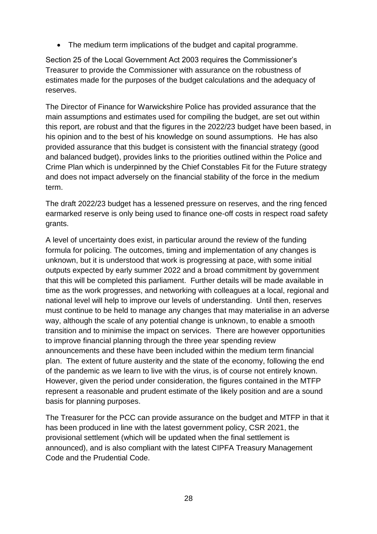• The medium term implications of the budget and capital programme.

Section 25 of the Local Government Act 2003 requires the Commissioner's Treasurer to provide the Commissioner with assurance on the robustness of estimates made for the purposes of the budget calculations and the adequacy of reserves.

The Director of Finance for Warwickshire Police has provided assurance that the main assumptions and estimates used for compiling the budget, are set out within this report, are robust and that the figures in the 2022/23 budget have been based, in his opinion and to the best of his knowledge on sound assumptions. He has also provided assurance that this budget is consistent with the financial strategy (good and balanced budget), provides links to the priorities outlined within the Police and Crime Plan which is underpinned by the Chief Constables Fit for the Future strategy and does not impact adversely on the financial stability of the force in the medium term.

The draft 2022/23 budget has a lessened pressure on reserves, and the ring fenced earmarked reserve is only being used to finance one-off costs in respect road safety grants.

A level of uncertainty does exist, in particular around the review of the funding formula for policing. The outcomes, timing and implementation of any changes is unknown, but it is understood that work is progressing at pace, with some initial outputs expected by early summer 2022 and a broad commitment by government that this will be completed this parliament. Further details will be made available in time as the work progresses, and networking with colleagues at a local, regional and national level will help to improve our levels of understanding. Until then, reserves must continue to be held to manage any changes that may materialise in an adverse way, although the scale of any potential change is unknown, to enable a smooth transition and to minimise the impact on services. There are however opportunities to improve financial planning through the three year spending review announcements and these have been included within the medium term financial plan. The extent of future austerity and the state of the economy, following the end of the pandemic as we learn to live with the virus, is of course not entirely known. However, given the period under consideration, the figures contained in the MTFP represent a reasonable and prudent estimate of the likely position and are a sound basis for planning purposes.

The Treasurer for the PCC can provide assurance on the budget and MTFP in that it has been produced in line with the latest government policy, CSR 2021, the provisional settlement (which will be updated when the final settlement is announced), and is also compliant with the latest CIPFA Treasury Management Code and the Prudential Code.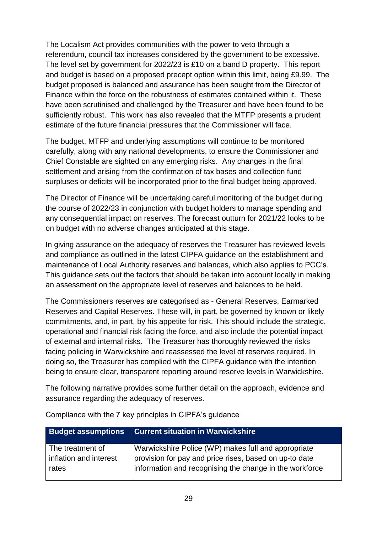The Localism Act provides communities with the power to veto through a referendum, council tax increases considered by the government to be excessive. The level set by government for 2022/23 is £10 on a band D property. This report and budget is based on a proposed precept option within this limit, being £9.99. The budget proposed is balanced and assurance has been sought from the Director of Finance within the force on the robustness of estimates contained within it. These have been scrutinised and challenged by the Treasurer and have been found to be sufficiently robust. This work has also revealed that the MTFP presents a prudent estimate of the future financial pressures that the Commissioner will face.

The budget, MTFP and underlying assumptions will continue to be monitored carefully, along with any national developments, to ensure the Commissioner and Chief Constable are sighted on any emerging risks. Any changes in the final settlement and arising from the confirmation of tax bases and collection fund surpluses or deficits will be incorporated prior to the final budget being approved.

The Director of Finance will be undertaking careful monitoring of the budget during the course of 2022/23 in conjunction with budget holders to manage spending and any consequential impact on reserves. The forecast outturn for 2021/22 looks to be on budget with no adverse changes anticipated at this stage.

In giving assurance on the adequacy of reserves the Treasurer has reviewed levels and compliance as outlined in the latest CIPFA guidance on the establishment and maintenance of Local Authority reserves and balances, which also applies to PCC's. This guidance sets out the factors that should be taken into account locally in making an assessment on the appropriate level of reserves and balances to be held.

The Commissioners reserves are categorised as - General Reserves, Earmarked Reserves and Capital Reserves. These will, in part, be governed by known or likely commitments, and, in part, by his appetite for risk. This should include the strategic, operational and financial risk facing the force, and also include the potential impact of external and internal risks. The Treasurer has thoroughly reviewed the risks facing policing in Warwickshire and reassessed the level of reserves required. In doing so, the Treasurer has complied with the CIPFA guidance with the intention being to ensure clear, transparent reporting around reserve levels in Warwickshire.

The following narrative provides some further detail on the approach, evidence and assurance regarding the adequacy of reserves.

| <b>Budget assumptions</b> | <b>Current situation in Warwickshire</b>                |
|---------------------------|---------------------------------------------------------|
| The treatment of          | Warwickshire Police (WP) makes full and appropriate     |
| inflation and interest    | provision for pay and price rises, based on up-to date  |
| rates                     | information and recognising the change in the workforce |

Compliance with the 7 key principles in CIPFA's guidance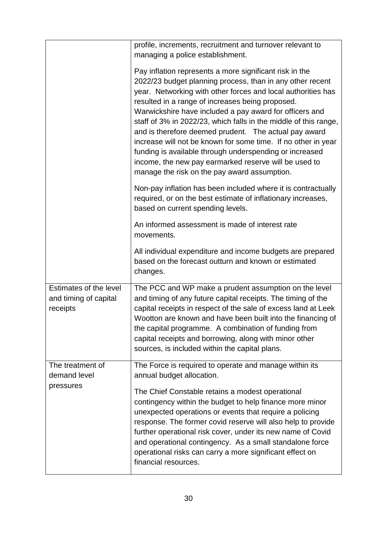|                                                                    | profile, increments, recruitment and turnover relevant to<br>managing a police establishment.                                                                                                                                                                                                                                                                                                                                                                                                                                                                                                                                                                         |  |  |  |  |
|--------------------------------------------------------------------|-----------------------------------------------------------------------------------------------------------------------------------------------------------------------------------------------------------------------------------------------------------------------------------------------------------------------------------------------------------------------------------------------------------------------------------------------------------------------------------------------------------------------------------------------------------------------------------------------------------------------------------------------------------------------|--|--|--|--|
|                                                                    | Pay inflation represents a more significant risk in the<br>2022/23 budget planning process, than in any other recent<br>year. Networking with other forces and local authorities has<br>resulted in a range of increases being proposed.<br>Warwickshire have included a pay award for officers and<br>staff of 3% in 2022/23, which falls in the middle of this range,<br>and is therefore deemed prudent. The actual pay award<br>increase will not be known for some time. If no other in year<br>funding is available through underspending or increased<br>income, the new pay earmarked reserve will be used to<br>manage the risk on the pay award assumption. |  |  |  |  |
|                                                                    | Non-pay inflation has been included where it is contractually<br>required, or on the best estimate of inflationary increases,<br>based on current spending levels.                                                                                                                                                                                                                                                                                                                                                                                                                                                                                                    |  |  |  |  |
|                                                                    | An informed assessment is made of interest rate<br>movements.                                                                                                                                                                                                                                                                                                                                                                                                                                                                                                                                                                                                         |  |  |  |  |
|                                                                    | All individual expenditure and income budgets are prepared<br>based on the forecast outturn and known or estimated<br>changes.                                                                                                                                                                                                                                                                                                                                                                                                                                                                                                                                        |  |  |  |  |
| <b>Estimates of the level</b><br>and timing of capital<br>receipts | The PCC and WP make a prudent assumption on the level<br>and timing of any future capital receipts. The timing of the<br>capital receipts in respect of the sale of excess land at Leek<br>Wootton are known and have been built into the financing of<br>the capital programme. A combination of funding from<br>capital receipts and borrowing, along with minor other<br>sources, is included within the capital plans.                                                                                                                                                                                                                                            |  |  |  |  |
| The treatment of<br>demand level                                   | The Force is required to operate and manage within its<br>annual budget allocation.                                                                                                                                                                                                                                                                                                                                                                                                                                                                                                                                                                                   |  |  |  |  |
| pressures                                                          | The Chief Constable retains a modest operational<br>contingency within the budget to help finance more minor<br>unexpected operations or events that require a policing<br>response. The former covid reserve will also help to provide<br>further operational risk cover, under its new name of Covid<br>and operational contingency. As a small standalone force<br>operational risks can carry a more significant effect on<br>financial resources.                                                                                                                                                                                                                |  |  |  |  |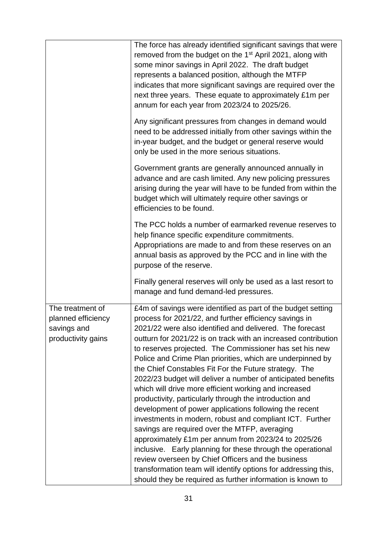|                                                                             | The force has already identified significant savings that were<br>removed from the budget on the 1 <sup>st</sup> April 2021, along with<br>some minor savings in April 2022. The draft budget<br>represents a balanced position, although the MTFP<br>indicates that more significant savings are required over the<br>next three years. These equate to approximately £1m per<br>annum for each year from 2023/24 to 2025/26.<br>Any significant pressures from changes in demand would<br>need to be addressed initially from other savings within the<br>in-year budget, and the budget or general reserve would<br>only be used in the more serious situations.                                                                                                                                                                                                                                                                                                                                                                                                                                           |
|-----------------------------------------------------------------------------|---------------------------------------------------------------------------------------------------------------------------------------------------------------------------------------------------------------------------------------------------------------------------------------------------------------------------------------------------------------------------------------------------------------------------------------------------------------------------------------------------------------------------------------------------------------------------------------------------------------------------------------------------------------------------------------------------------------------------------------------------------------------------------------------------------------------------------------------------------------------------------------------------------------------------------------------------------------------------------------------------------------------------------------------------------------------------------------------------------------|
|                                                                             | Government grants are generally announced annually in<br>advance and are cash limited. Any new policing pressures<br>arising during the year will have to be funded from within the<br>budget which will ultimately require other savings or<br>efficiencies to be found.                                                                                                                                                                                                                                                                                                                                                                                                                                                                                                                                                                                                                                                                                                                                                                                                                                     |
|                                                                             | The PCC holds a number of earmarked revenue reserves to<br>help finance specific expenditure commitments.<br>Appropriations are made to and from these reserves on an<br>annual basis as approved by the PCC and in line with the<br>purpose of the reserve.                                                                                                                                                                                                                                                                                                                                                                                                                                                                                                                                                                                                                                                                                                                                                                                                                                                  |
|                                                                             | Finally general reserves will only be used as a last resort to<br>manage and fund demand-led pressures.                                                                                                                                                                                                                                                                                                                                                                                                                                                                                                                                                                                                                                                                                                                                                                                                                                                                                                                                                                                                       |
| The treatment of<br>planned efficiency<br>savings and<br>productivity gains | £4m of savings were identified as part of the budget setting<br>process for 2021/22, and further efficiency savings in<br>2021/22 were also identified and delivered. The forecast<br>outturn for 2021/22 is on track with an increased contribution<br>to reserves projected. The Commissioner has set his new<br>Police and Crime Plan priorities, which are underpinned by<br>the Chief Constables Fit For the Future strategy. The<br>2022/23 budget will deliver a number of anticipated benefits<br>which will drive more efficient working and increased<br>productivity, particularly through the introduction and<br>development of power applications following the recent<br>investments in modern, robust and compliant ICT. Further<br>savings are required over the MTFP, averaging<br>approximately £1m per annum from 2023/24 to 2025/26<br>inclusive. Early planning for these through the operational<br>review overseen by Chief Officers and the business<br>transformation team will identify options for addressing this,<br>should they be required as further information is known to |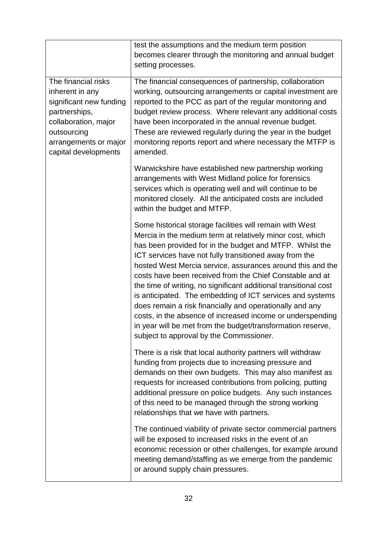|                                                                                                                                                                            | test the assumptions and the medium term position<br>becomes clearer through the monitoring and annual budget<br>setting processes.                                                                                                                                                                                                                                                                                                                                                                                                                                                                                                                                                                                                         |
|----------------------------------------------------------------------------------------------------------------------------------------------------------------------------|---------------------------------------------------------------------------------------------------------------------------------------------------------------------------------------------------------------------------------------------------------------------------------------------------------------------------------------------------------------------------------------------------------------------------------------------------------------------------------------------------------------------------------------------------------------------------------------------------------------------------------------------------------------------------------------------------------------------------------------------|
| The financial risks<br>inherent in any<br>significant new funding<br>partnerships,<br>collaboration, major<br>outsourcing<br>arrangements or major<br>capital developments | The financial consequences of partnership, collaboration<br>working, outsourcing arrangements or capital investment are<br>reported to the PCC as part of the regular monitoring and<br>budget review process. Where relevant any additional costs<br>have been incorporated in the annual revenue budget.<br>These are reviewed regularly during the year in the budget<br>monitoring reports report and where necessary the MTFP is<br>amended.                                                                                                                                                                                                                                                                                           |
|                                                                                                                                                                            | Warwickshire have established new partnership working<br>arrangements with West Midland police for forensics<br>services which is operating well and will continue to be<br>monitored closely. All the anticipated costs are included<br>within the budget and MTFP.                                                                                                                                                                                                                                                                                                                                                                                                                                                                        |
|                                                                                                                                                                            | Some historical storage facilities will remain with West<br>Mercia in the medium term at relatively minor cost, which<br>has been provided for in the budget and MTFP. Whilst the<br>ICT services have not fully transitioned away from the<br>hosted West Mercia service, assurances around this and the<br>costs have been received from the Chief Constable and at<br>the time of writing, no significant additional transitional cost<br>is anticipated. The embedding of ICT services and systems<br>does remain a risk financially and operationally and any<br>costs, in the absence of increased income or underspending<br>in year will be met from the budget/transformation reserve,<br>subject to approval by the Commissioner. |
|                                                                                                                                                                            | There is a risk that local authority partners will withdraw<br>funding from projects due to increasing pressure and<br>demands on their own budgets. This may also manifest as<br>requests for increased contributions from policing, putting<br>additional pressure on police budgets. Any such instances<br>of this need to be managed through the strong working<br>relationships that we have with partners.                                                                                                                                                                                                                                                                                                                            |
|                                                                                                                                                                            | The continued viability of private sector commercial partners<br>will be exposed to increased risks in the event of an<br>economic recession or other challenges, for example around<br>meeting demand/staffing as we emerge from the pandemic<br>or around supply chain pressures.                                                                                                                                                                                                                                                                                                                                                                                                                                                         |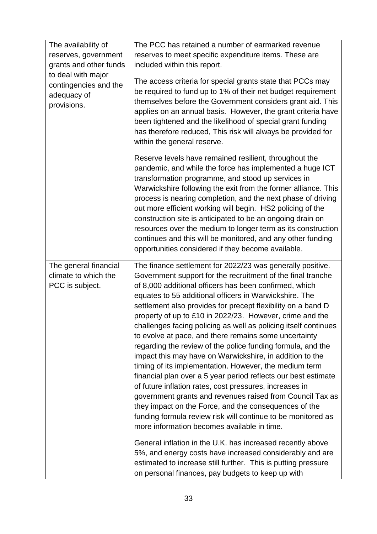| The availability of                                 | The PCC has retained a number of earmarked revenue                                                                                                                                                                                                                                                                                                                                                                                                                                                                                                                                                                                                                                                                                                                                                                                                                                                                              |
|-----------------------------------------------------|---------------------------------------------------------------------------------------------------------------------------------------------------------------------------------------------------------------------------------------------------------------------------------------------------------------------------------------------------------------------------------------------------------------------------------------------------------------------------------------------------------------------------------------------------------------------------------------------------------------------------------------------------------------------------------------------------------------------------------------------------------------------------------------------------------------------------------------------------------------------------------------------------------------------------------|
| reserves, government                                | reserves to meet specific expenditure items. These are                                                                                                                                                                                                                                                                                                                                                                                                                                                                                                                                                                                                                                                                                                                                                                                                                                                                          |
| grants and other funds                              | included within this report.                                                                                                                                                                                                                                                                                                                                                                                                                                                                                                                                                                                                                                                                                                                                                                                                                                                                                                    |
| to deal with major                                  |                                                                                                                                                                                                                                                                                                                                                                                                                                                                                                                                                                                                                                                                                                                                                                                                                                                                                                                                 |
| contingencies and the<br>adequacy of<br>provisions. | The access criteria for special grants state that PCCs may<br>be required to fund up to 1% of their net budget requirement<br>themselves before the Government considers grant aid. This<br>applies on an annual basis. However, the grant criteria have<br>been tightened and the likelihood of special grant funding<br>has therefore reduced, This risk will always be provided for<br>within the general reserve.                                                                                                                                                                                                                                                                                                                                                                                                                                                                                                           |
|                                                     | Reserve levels have remained resilient, throughout the<br>pandemic, and while the force has implemented a huge ICT<br>transformation programme, and stood up services in<br>Warwickshire following the exit from the former alliance. This<br>process is nearing completion, and the next phase of driving<br>out more efficient working will begin. HS2 policing of the<br>construction site is anticipated to be an ongoing drain on<br>resources over the medium to longer term as its construction<br>continues and this will be monitored, and any other funding<br>opportunities considered if they become available.                                                                                                                                                                                                                                                                                                     |
| The general financial                               | The finance settlement for 2022/23 was generally positive.                                                                                                                                                                                                                                                                                                                                                                                                                                                                                                                                                                                                                                                                                                                                                                                                                                                                      |
| climate to which the                                | Government support for the recruitment of the final tranche                                                                                                                                                                                                                                                                                                                                                                                                                                                                                                                                                                                                                                                                                                                                                                                                                                                                     |
| PCC is subject.                                     | of 8,000 additional officers has been confirmed, which<br>equates to 55 additional officers in Warwickshire. The<br>settlement also provides for precept flexibility on a band D<br>property of up to £10 in 2022/23. However, crime and the<br>challenges facing policing as well as policing itself continues<br>to evolve at pace, and there remains some uncertainty<br>regarding the review of the police funding formula, and the<br>impact this may have on Warwickshire, in addition to the<br>timing of its implementation. However, the medium term<br>financial plan over a 5 year period reflects our best estimate<br>of future inflation rates, cost pressures, increases in<br>government grants and revenues raised from Council Tax as<br>they impact on the Force, and the consequences of the<br>funding formula review risk will continue to be monitored as<br>more information becomes available in time. |
|                                                     | General inflation in the U.K. has increased recently above<br>5%, and energy costs have increased considerably and are<br>estimated to increase still further. This is putting pressure<br>on personal finances, pay budgets to keep up with                                                                                                                                                                                                                                                                                                                                                                                                                                                                                                                                                                                                                                                                                    |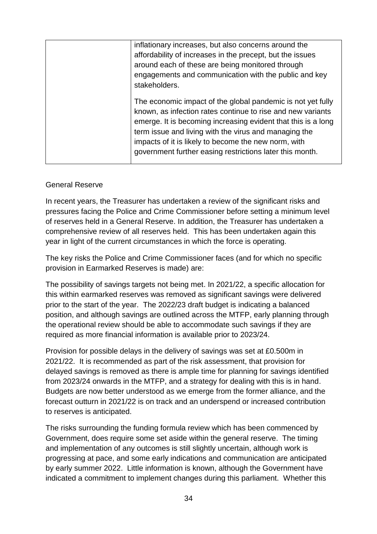| inflationary increases, but also concerns around the          |
|---------------------------------------------------------------|
| affordability of increases in the precept, but the issues     |
| around each of these are being monitored through              |
| engagements and communication with the public and key         |
| stakeholders.                                                 |
| The economic impact of the global pandemic is not yet fully   |
| known, as infection rates continue to rise and new variants   |
| emerge. It is becoming increasing evident that this is a long |
| term issue and living with the virus and managing the         |
| impacts of it is likely to become the new norm, with          |
| government further easing restrictions later this month.      |
|                                                               |

#### General Reserve

In recent years, the Treasurer has undertaken a review of the significant risks and pressures facing the Police and Crime Commissioner before setting a minimum level of reserves held in a General Reserve. In addition, the Treasurer has undertaken a comprehensive review of all reserves held. This has been undertaken again this year in light of the current circumstances in which the force is operating.

The key risks the Police and Crime Commissioner faces (and for which no specific provision in Earmarked Reserves is made) are:

The possibility of savings targets not being met. In 2021/22, a specific allocation for this within earmarked reserves was removed as significant savings were delivered prior to the start of the year. The 2022/23 draft budget is indicating a balanced position, and although savings are outlined across the MTFP, early planning through the operational review should be able to accommodate such savings if they are required as more financial information is available prior to 2023/24.

Provision for possible delays in the delivery of savings was set at £0.500m in 2021/22. It is recommended as part of the risk assessment, that provision for delayed savings is removed as there is ample time for planning for savings identified from 2023/24 onwards in the MTFP, and a strategy for dealing with this is in hand. Budgets are now better understood as we emerge from the former alliance, and the forecast outturn in 2021/22 is on track and an underspend or increased contribution to reserves is anticipated.

The risks surrounding the funding formula review which has been commenced by Government, does require some set aside within the general reserve. The timing and implementation of any outcomes is still slightly uncertain, although work is progressing at pace, and some early indications and communication are anticipated by early summer 2022. Little information is known, although the Government have indicated a commitment to implement changes during this parliament. Whether this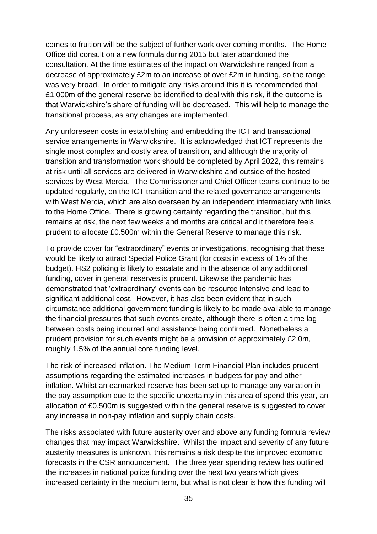comes to fruition will be the subject of further work over coming months. The Home Office did consult on a new formula during 2015 but later abandoned the consultation. At the time estimates of the impact on Warwickshire ranged from a decrease of approximately £2m to an increase of over £2m in funding, so the range was very broad. In order to mitigate any risks around this it is recommended that £1.000m of the general reserve be identified to deal with this risk, if the outcome is that Warwickshire's share of funding will be decreased. This will help to manage the transitional process, as any changes are implemented.

Any unforeseen costs in establishing and embedding the ICT and transactional service arrangements in Warwickshire. It is acknowledged that ICT represents the single most complex and costly area of transition, and although the majority of transition and transformation work should be completed by April 2022, this remains at risk until all services are delivered in Warwickshire and outside of the hosted services by West Mercia. The Commissioner and Chief Officer teams continue to be updated regularly, on the ICT transition and the related governance arrangements with West Mercia, which are also overseen by an independent intermediary with links to the Home Office. There is growing certainty regarding the transition, but this remains at risk, the next few weeks and months are critical and it therefore feels prudent to allocate £0.500m within the General Reserve to manage this risk.

To provide cover for "extraordinary" events or investigations, recognising that these would be likely to attract Special Police Grant (for costs in excess of 1% of the budget). HS2 policing is likely to escalate and in the absence of any additional funding, cover in general reserves is prudent. Likewise the pandemic has demonstrated that 'extraordinary' events can be resource intensive and lead to significant additional cost. However, it has also been evident that in such circumstance additional government funding is likely to be made available to manage the financial pressures that such events create, although there is often a time lag between costs being incurred and assistance being confirmed. Nonetheless a prudent provision for such events might be a provision of approximately £2.0m, roughly 1.5% of the annual core funding level.

The risk of increased inflation. The Medium Term Financial Plan includes prudent assumptions regarding the estimated increases in budgets for pay and other inflation. Whilst an earmarked reserve has been set up to manage any variation in the pay assumption due to the specific uncertainty in this area of spend this year, an allocation of £0.500m is suggested within the general reserve is suggested to cover any increase in non-pay inflation and supply chain costs.

The risks associated with future austerity over and above any funding formula review changes that may impact Warwickshire. Whilst the impact and severity of any future austerity measures is unknown, this remains a risk despite the improved economic forecasts in the CSR announcement. The three year spending review has outlined the increases in national police funding over the next two years which gives increased certainty in the medium term, but what is not clear is how this funding will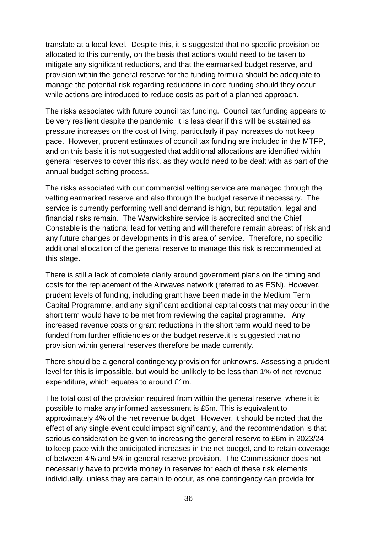translate at a local level. Despite this, it is suggested that no specific provision be allocated to this currently, on the basis that actions would need to be taken to mitigate any significant reductions, and that the earmarked budget reserve, and provision within the general reserve for the funding formula should be adequate to manage the potential risk regarding reductions in core funding should they occur while actions are introduced to reduce costs as part of a planned approach.

The risks associated with future council tax funding. Council tax funding appears to be very resilient despite the pandemic, it is less clear if this will be sustained as pressure increases on the cost of living, particularly if pay increases do not keep pace. However, prudent estimates of council tax funding are included in the MTFP, and on this basis it is not suggested that additional allocations are identified within general reserves to cover this risk, as they would need to be dealt with as part of the annual budget setting process.

The risks associated with our commercial vetting service are managed through the vetting earmarked reserve and also through the budget reserve if necessary. The service is currently performing well and demand is high, but reputation, legal and financial risks remain. The Warwickshire service is accredited and the Chief Constable is the national lead for vetting and will therefore remain abreast of risk and any future changes or developments in this area of service. Therefore, no specific additional allocation of the general reserve to manage this risk is recommended at this stage.

There is still a lack of complete clarity around government plans on the timing and costs for the replacement of the Airwaves network (referred to as ESN). However, prudent levels of funding, including grant have been made in the Medium Term Capital Programme, and any significant additional capital costs that may occur in the short term would have to be met from reviewing the capital programme. Any increased revenue costs or grant reductions in the short term would need to be funded from further efficiencies or the budget reserve.it is suggested that no provision within general reserves therefore be made currently.

There should be a general contingency provision for unknowns. Assessing a prudent level for this is impossible, but would be unlikely to be less than 1% of net revenue expenditure, which equates to around £1m.

The total cost of the provision required from within the general reserve, where it is possible to make any informed assessment is £5m. This is equivalent to approximately 4% of the net revenue budget However, it should be noted that the effect of any single event could impact significantly, and the recommendation is that serious consideration be given to increasing the general reserve to £6m in 2023/24 to keep pace with the anticipated increases in the net budget, and to retain coverage of between 4% and 5% in general reserve provision. The Commissioner does not necessarily have to provide money in reserves for each of these risk elements individually, unless they are certain to occur, as one contingency can provide for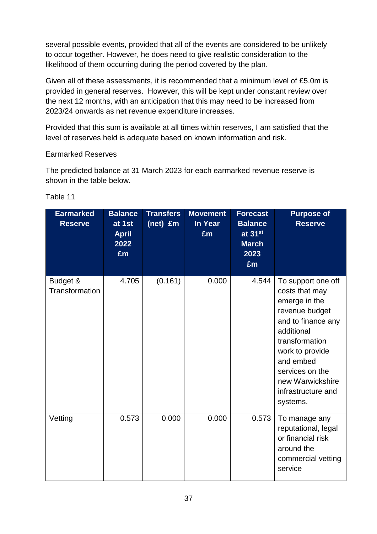several possible events, provided that all of the events are considered to be unlikely to occur together. However, he does need to give realistic consideration to the likelihood of them occurring during the period covered by the plan.

Given all of these assessments, it is recommended that a minimum level of £5.0m is provided in general reserves. However, this will be kept under constant review over the next 12 months, with an anticipation that this may need to be increased from 2023/24 onwards as net revenue expenditure increases.

Provided that this sum is available at all times within reserves, I am satisfied that the level of reserves held is adequate based on known information and risk.

#### Earmarked Reserves

The predicted balance at 31 March 2023 for each earmarked revenue reserve is shown in the table below.

| <b>Earmarked</b><br><b>Reserve</b> | <b>Balance</b><br>at 1st<br><b>April</b><br>2022<br>£m | <b>Transfers</b><br>(net) £m | <b>Movement</b><br><b>In Year</b><br>£m | <b>Forecast</b><br><b>Balance</b><br>at 31st<br><b>March</b><br>2023<br>£m | <b>Purpose of</b><br><b>Reserve</b>                                                                                                                                                                                                    |
|------------------------------------|--------------------------------------------------------|------------------------------|-----------------------------------------|----------------------------------------------------------------------------|----------------------------------------------------------------------------------------------------------------------------------------------------------------------------------------------------------------------------------------|
| Budget &<br>Transformation         | 4.705                                                  | (0.161)                      | 0.000                                   | 4.544                                                                      | To support one off<br>costs that may<br>emerge in the<br>revenue budget<br>and to finance any<br>additional<br>transformation<br>work to provide<br>and embed<br>services on the<br>new Warwickshire<br>infrastructure and<br>systems. |
| Vetting                            | 0.573                                                  | 0.000                        | 0.000                                   | 0.573                                                                      | To manage any<br>reputational, legal<br>or financial risk<br>around the<br>commercial vetting<br>service                                                                                                                               |

Table 11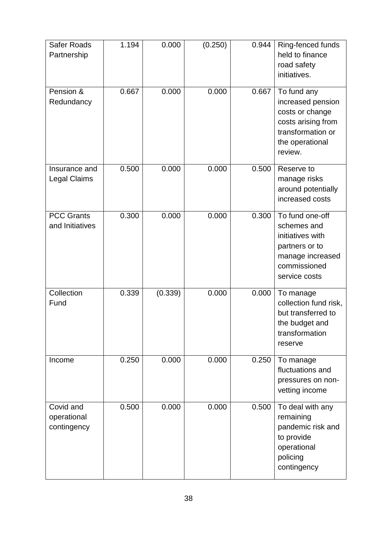| <b>Safer Roads</b><br>Partnership       | 1.194 | 0.000   | (0.250) | 0.944 | Ring-fenced funds<br>held to finance<br>road safety<br>initiatives.                                                          |
|-----------------------------------------|-------|---------|---------|-------|------------------------------------------------------------------------------------------------------------------------------|
| Pension &<br>Redundancy                 | 0.667 | 0.000   | 0.000   | 0.667 | To fund any<br>increased pension<br>costs or change<br>costs arising from<br>transformation or<br>the operational<br>review. |
| Insurance and<br><b>Legal Claims</b>    | 0.500 | 0.000   | 0.000   | 0.500 | Reserve to<br>manage risks<br>around potentially<br>increased costs                                                          |
| <b>PCC Grants</b><br>and Initiatives    | 0.300 | 0.000   | 0.000   | 0.300 | To fund one-off<br>schemes and<br>initiatives with<br>partners or to<br>manage increased<br>commissioned<br>service costs    |
| Collection<br>Fund                      | 0.339 | (0.339) | 0.000   | 0.000 | To manage<br>collection fund risk,<br>but transferred to<br>the budget and<br>transformation<br>reserve                      |
| Income                                  | 0.250 | 0.000   | 0.000   | 0.250 | To manage<br>fluctuations and<br>pressures on non-<br>vetting income                                                         |
| Covid and<br>operational<br>contingency | 0.500 | 0.000   | 0.000   | 0.500 | To deal with any<br>remaining<br>pandemic risk and<br>to provide<br>operational<br>policing<br>contingency                   |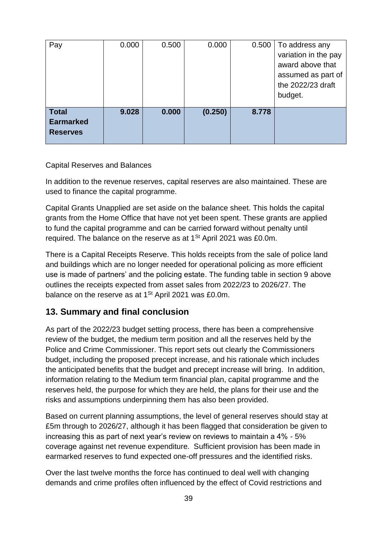| Pay                                                 | 0.000 | 0.500 | 0.000   | 0.500 | To address any<br>variation in the pay<br>award above that<br>assumed as part of<br>the 2022/23 draft<br>budget. |
|-----------------------------------------------------|-------|-------|---------|-------|------------------------------------------------------------------------------------------------------------------|
| <b>Total</b><br><b>Earmarked</b><br><b>Reserves</b> | 9.028 | 0.000 | (0.250) | 8.778 |                                                                                                                  |

Capital Reserves and Balances

In addition to the revenue reserves, capital reserves are also maintained. These are used to finance the capital programme.

Capital Grants Unapplied are set aside on the balance sheet. This holds the capital grants from the Home Office that have not yet been spent. These grants are applied to fund the capital programme and can be carried forward without penalty until required. The balance on the reserve as at  $1<sup>St</sup>$  April 2021 was £0.0m.

There is a Capital Receipts Reserve. This holds receipts from the sale of police land and buildings which are no longer needed for operational policing as more efficient use is made of partners' and the policing estate. The funding table in section 9 above outlines the receipts expected from asset sales from 2022/23 to 2026/27. The balance on the reserve as at  $1<sup>St</sup>$  April 2021 was £0.0m.

### **13. Summary and final conclusion**

As part of the 2022/23 budget setting process, there has been a comprehensive review of the budget, the medium term position and all the reserves held by the Police and Crime Commissioner. This report sets out clearly the Commissioners budget, including the proposed precept increase, and his rationale which includes the anticipated benefits that the budget and precept increase will bring. In addition, information relating to the Medium term financial plan, capital programme and the reserves held, the purpose for which they are held, the plans for their use and the risks and assumptions underpinning them has also been provided.

Based on current planning assumptions, the level of general reserves should stay at £5m through to 2026/27, although it has been flagged that consideration be given to increasing this as part of next year's review on reviews to maintain a 4% - 5% coverage against net revenue expenditure. Sufficient provision has been made in earmarked reserves to fund expected one-off pressures and the identified risks.

Over the last twelve months the force has continued to deal well with changing demands and crime profiles often influenced by the effect of Covid restrictions and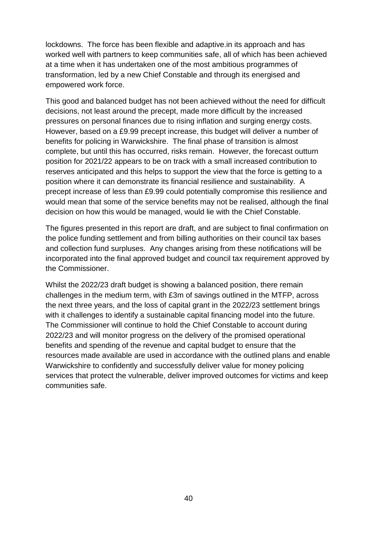lockdowns. The force has been flexible and adaptive.in its approach and has worked well with partners to keep communities safe, all of which has been achieved at a time when it has undertaken one of the most ambitious programmes of transformation, led by a new Chief Constable and through its energised and empowered work force.

This good and balanced budget has not been achieved without the need for difficult decisions, not least around the precept, made more difficult by the increased pressures on personal finances due to rising inflation and surging energy costs. However, based on a £9.99 precept increase, this budget will deliver a number of benefits for policing in Warwickshire. The final phase of transition is almost complete, but until this has occurred, risks remain. However, the forecast outturn position for 2021/22 appears to be on track with a small increased contribution to reserves anticipated and this helps to support the view that the force is getting to a position where it can demonstrate its financial resilience and sustainability. A precept increase of less than £9.99 could potentially compromise this resilience and would mean that some of the service benefits may not be realised, although the final decision on how this would be managed, would lie with the Chief Constable.

The figures presented in this report are draft, and are subject to final confirmation on the police funding settlement and from billing authorities on their council tax bases and collection fund surpluses. Any changes arising from these notifications will be incorporated into the final approved budget and council tax requirement approved by the Commissioner.

Whilst the 2022/23 draft budget is showing a balanced position, there remain challenges in the medium term, with £3m of savings outlined in the MTFP, across the next three years, and the loss of capital grant in the 2022/23 settlement brings with it challenges to identify a sustainable capital financing model into the future. The Commissioner will continue to hold the Chief Constable to account during 2022/23 and will monitor progress on the delivery of the promised operational benefits and spending of the revenue and capital budget to ensure that the resources made available are used in accordance with the outlined plans and enable Warwickshire to confidently and successfully deliver value for money policing services that protect the vulnerable, deliver improved outcomes for victims and keep communities safe.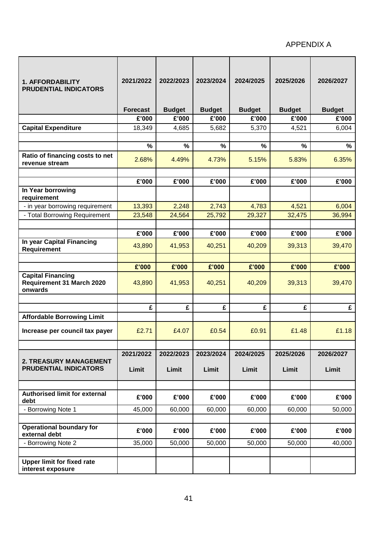#### APPENDIX A

| <b>1. AFFORDABILITY</b><br><b>PRUDENTIAL INDICATORS</b>          | 2021/2022       | 2022/2023     | 2023/2024     | 2024/2025     | 2025/2026     | 2026/2027     |
|------------------------------------------------------------------|-----------------|---------------|---------------|---------------|---------------|---------------|
|                                                                  | <b>Forecast</b> | <b>Budget</b> | <b>Budget</b> | <b>Budget</b> | <b>Budget</b> | <b>Budget</b> |
|                                                                  | £'000           | £'000         | £'000         | £'000         | £'000         | £'000         |
| <b>Capital Expenditure</b>                                       | 18,349          | 4,685         | 5,682         | 5,370         | 4,521         | 6,004         |
|                                                                  |                 |               |               |               |               |               |
|                                                                  | $\frac{0}{0}$   | %             | $\frac{9}{6}$ | $\frac{0}{0}$ | %             | $\%$          |
| Ratio of financing costs to net<br>revenue stream                | 2.68%           | 4.49%         | 4.73%         | 5.15%         | 5.83%         | 6.35%         |
|                                                                  |                 |               |               |               |               |               |
|                                                                  | £'000           | £'000         | £'000         | £'000         | £'000         | £'000         |
| In Year borrowing<br>requirement                                 |                 |               |               |               |               |               |
| - in year borrowing requirement                                  | 13,393          | 2,248         | 2,743         | 4,783         | 4,521         | 6,004         |
| - Total Borrowing Requirement                                    | 23,548          | 24,564        | 25,792        | 29,327        | 32,475        | 36,994        |
|                                                                  |                 |               |               |               |               |               |
|                                                                  | £'000           | £'000         | £'000         | £'000         | £'000         | £'000         |
| In year Capital Financing<br>Requirement                         | 43,890          | 41,953        | 40,251        | 40,209        | 39,313        | 39,470        |
|                                                                  |                 |               |               |               |               |               |
|                                                                  | £'000           | £'000         | £'000         | £'000         | £'000         | £'000         |
| <b>Capital Financing</b><br>Requirement 31 March 2020<br>onwards | 43,890          | 41,953        | 40,251        | 40,209        | 39,313        | 39,470        |
|                                                                  |                 |               |               |               |               |               |
|                                                                  | £               | £             | £             | £             | £             | £             |
| <b>Affordable Borrowing Limit</b>                                |                 |               |               |               |               |               |
| Increase per council tax payer                                   | £2.71           | £4.07         | £0.54         | £0.91         | £1.48         | £1.18         |
|                                                                  |                 |               |               |               |               |               |
|                                                                  | 2021/2022       | 2022/2023     | 2023/2024     | 2024/2025     | 2025/2026     | 2026/2027     |
| <b>2. TREASURY MANAGEMENT</b><br><b>PRUDENTIAL INDICATORS</b>    | Limit           | Limit         | Limit         | Limit         | Limit         | Limit         |
|                                                                  |                 |               |               |               |               |               |
| <b>Authorised limit for external</b><br>debt                     | £'000           | £'000         | £'000         | £'000         | £'000         | £'000         |
| - Borrowing Note 1                                               | 45,000          | 60,000        | 60,000        | 60,000        | 60,000        | 50,000        |
|                                                                  |                 |               |               |               |               |               |
| <b>Operational boundary for</b><br>external debt                 | £'000           | £'000         | £'000         | £'000         | £'000         | £'000         |
| - Borrowing Note 2                                               | 35,000          | 50,000        | 50,000        | 50,000        | 50,000        | 40,000        |
| <b>Upper limit for fixed rate</b><br>interest exposure           |                 |               |               |               |               |               |